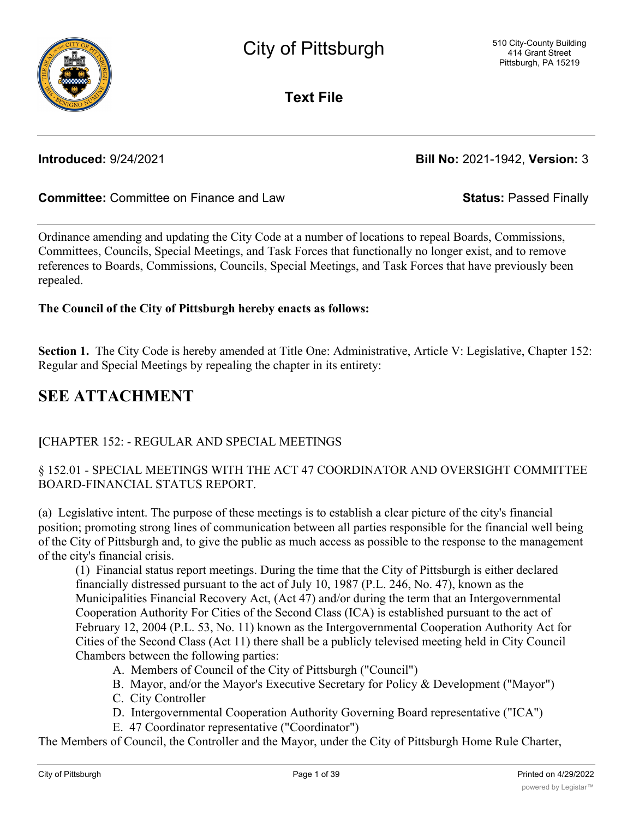

**Text File**

**Introduced:** 9/24/2021 **Bill No:** 2021-1942, **Version:** 3

## **Committee:** Committee on Finance and Law **Status:** Passed Finally

Ordinance amending and updating the City Code at a number of locations to repeal Boards, Commissions, Committees, Councils, Special Meetings, and Task Forces that functionally no longer exist, and to remove references to Boards, Commissions, Councils, Special Meetings, and Task Forces that have previously been repealed.

### **The Council of the City of Pittsburgh hereby enacts as follows:**

**Section 1.** The City Code is hereby amended at Title One: Administrative, Article V: Legislative, Chapter 152: Regular and Special Meetings by repealing the chapter in its entirety:

# **SEE ATTACHMENT**

## **[**CHAPTER 152: - REGULAR AND SPECIAL MEETINGS

## § 152.01 - SPECIAL MEETINGS WITH THE ACT 47 COORDINATOR AND OVERSIGHT COMMITTEE BOARD-FINANCIAL STATUS REPORT.

(a) Legislative intent. The purpose of these meetings is to establish a clear picture of the city's financial position; promoting strong lines of communication between all parties responsible for the financial well being of the City of Pittsburgh and, to give the public as much access as possible to the response to the management of the city's financial crisis.

(1) Financial status report meetings. During the time that the City of Pittsburgh is either declared financially distressed pursuant to the act of July 10, 1987 (P.L. 246, No. 47), known as the Municipalities Financial Recovery Act, (Act 47) and/or during the term that an Intergovernmental Cooperation Authority For Cities of the Second Class (ICA) is established pursuant to the act of February 12, 2004 (P.L. 53, No. 11) known as the Intergovernmental Cooperation Authority Act for Cities of the Second Class (Act 11) there shall be a publicly televised meeting held in City Council Chambers between the following parties:

- A. Members of Council of the City of Pittsburgh ("Council")
- B. Mayor, and/or the Mayor's Executive Secretary for Policy & Development ("Mayor")
- C. City Controller
- D. Intergovernmental Cooperation Authority Governing Board representative ("ICA")
- E. 47 Coordinator representative ("Coordinator")

The Members of Council, the Controller and the Mayor, under the City of Pittsburgh Home Rule Charter,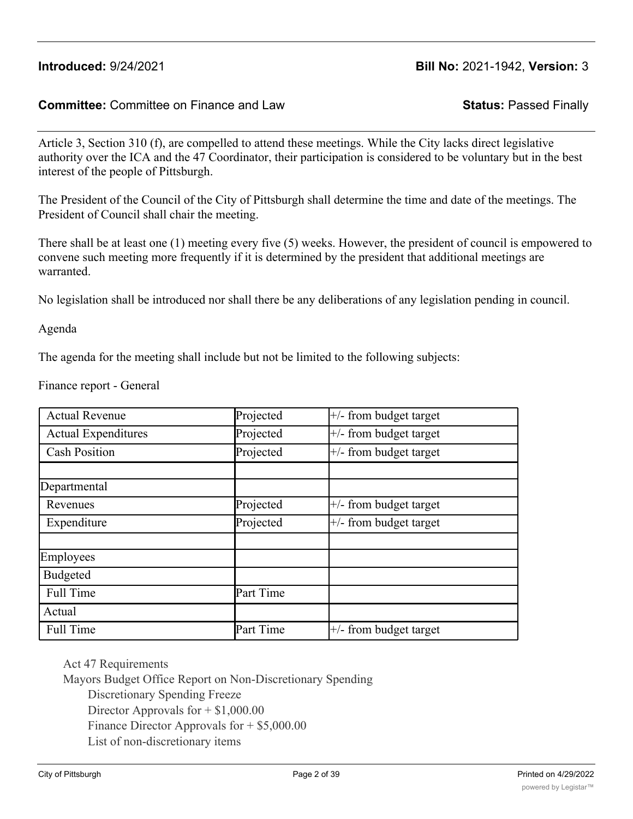#### **Committee:** Committee on Finance and Law **Status:** Passed Finally

Article 3, Section 310 (f), are compelled to attend these meetings. While the City lacks direct legislative authority over the ICA and the 47 Coordinator, their participation is considered to be voluntary but in the best interest of the people of Pittsburgh.

The President of the Council of the City of Pittsburgh shall determine the time and date of the meetings. The President of Council shall chair the meeting.

There shall be at least one (1) meeting every five (5) weeks. However, the president of council is empowered to convene such meeting more frequently if it is determined by the president that additional meetings are warranted.

No legislation shall be introduced nor shall there be any deliberations of any legislation pending in council.

Agenda

The agenda for the meeting shall include but not be limited to the following subjects:

Finance report - General

| <b>Actual Revenue</b>      | Projected | $+/-$ from budget target |
|----------------------------|-----------|--------------------------|
| <b>Actual Expenditures</b> | Projected | $+/-$ from budget target |
| <b>Cash Position</b>       | Projected | $+/-$ from budget target |
|                            |           |                          |
| Departmental               |           |                          |
| Revenues                   | Projected | $+/-$ from budget target |
| Expenditure                | Projected | $+/-$ from budget target |
|                            |           |                          |
| Employees                  |           |                          |
| <b>Budgeted</b>            |           |                          |
| Full Time                  | Part Time |                          |
| Actual                     |           |                          |
| Full Time                  | Part Time | $+/-$ from budget target |

Act 47 Requirements

Mayors Budget Office Report on Non-Discretionary Spending

Discretionary Spending Freeze

Director Approvals for  $+$  \$1,000.00

Finance Director Approvals for + \$5,000.00

List of non-discretionary items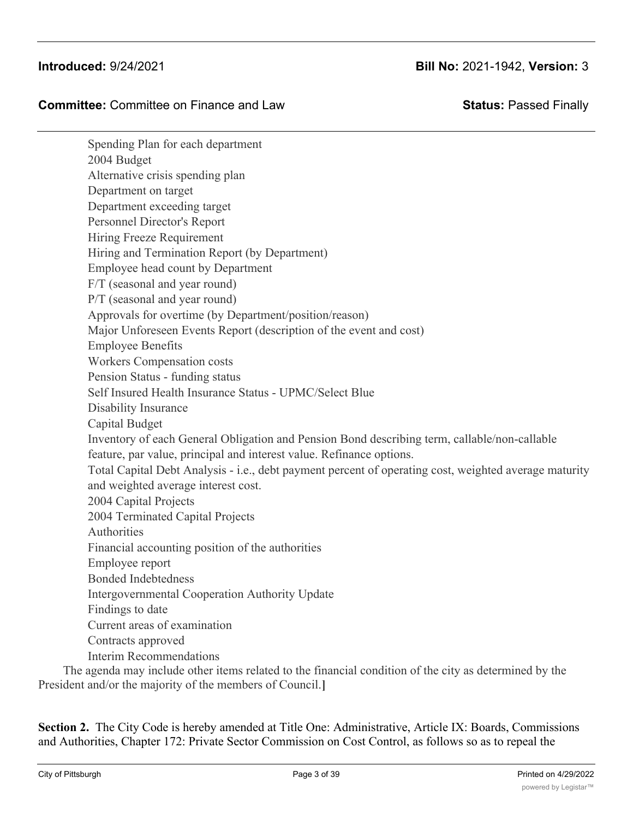### **Committee:** Committee on Finance and Law **Status:** Passed Finally

Spending Plan for each department 2004 Budget Alternative crisis spending plan Department on target Department exceeding target Personnel Director's Report Hiring Freeze Requirement Hiring and Termination Report (by Department) Employee head count by Department F/T (seasonal and year round) P/T (seasonal and year round) Approvals for overtime (by Department/position/reason) Major Unforeseen Events Report (description of the event and cost) Employee Benefits Workers Compensation costs Pension Status - funding status Self Insured Health Insurance Status - UPMC/Select Blue Disability Insurance Capital Budget Inventory of each General Obligation and Pension Bond describing term, callable/non-callable feature, par value, principal and interest value. Refinance options. Total Capital Debt Analysis - i.e., debt payment percent of operating cost, weighted average maturity and weighted average interest cost. 2004 Capital Projects 2004 Terminated Capital Projects Authorities Financial accounting position of the authorities Employee report Bonded Indebtedness Intergovernmental Cooperation Authority Update Findings to date Current areas of examination Contracts approved Interim Recommendations

The agenda may include other items related to the financial condition of the city as determined by the President and/or the majority of the members of Council.**]**

**Section 2.** The City Code is hereby amended at Title One: Administrative, Article IX: Boards, Commissions and Authorities, Chapter 172: Private Sector Commission on Cost Control, as follows so as to repeal the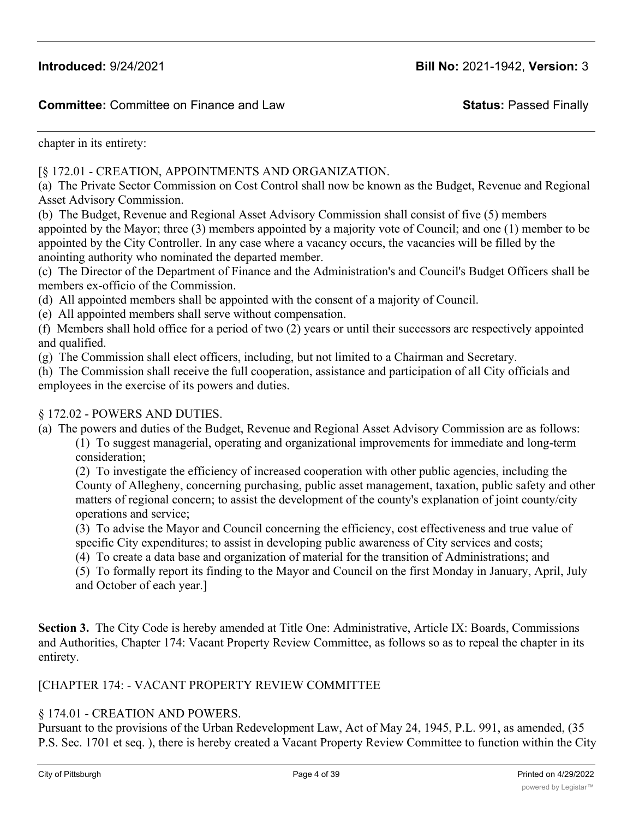chapter in its entirety:

#### [§ 172.01 - CREATION, APPOINTMENTS AND ORGANIZATION.

(a) The Private Sector Commission on Cost Control shall now be known as the Budget, Revenue and Regional Asset Advisory Commission.

(b) The Budget, Revenue and Regional Asset Advisory Commission shall consist of five (5) members appointed by the Mayor; three (3) members appointed by a majority vote of Council; and one (1) member to be appointed by the City Controller. In any case where a vacancy occurs, the vacancies will be filled by the anointing authority who nominated the departed member.

(c) The Director of the Department of Finance and the Administration's and Council's Budget Officers shall be members ex-officio of the Commission.

- (d) All appointed members shall be appointed with the consent of a majority of Council.
- (e) All appointed members shall serve without compensation.

(f) Members shall hold office for a period of two (2) years or until their successors arc respectively appointed and qualified.

(g) The Commission shall elect officers, including, but not limited to a Chairman and Secretary.

(h) The Commission shall receive the full cooperation, assistance and participation of all City officials and employees in the exercise of its powers and duties.

#### § 172.02 - POWERS AND DUTIES.

(a) The powers and duties of the Budget, Revenue and Regional Asset Advisory Commission are as follows: (1) To suggest managerial, operating and organizational improvements for immediate and long-term consideration;

(2) To investigate the efficiency of increased cooperation with other public agencies, including the County of Allegheny, concerning purchasing, public asset management, taxation, public safety and other matters of regional concern; to assist the development of the county's explanation of joint county/city operations and service;

(3) To advise the Mayor and Council concerning the efficiency, cost effectiveness and true value of

- specific City expenditures; to assist in developing public awareness of City services and costs;
- (4) To create a data base and organization of material for the transition of Administrations; and

(5) To formally report its finding to the Mayor and Council on the first Monday in January, April, July and October of each year.]

**Section 3.** The City Code is hereby amended at Title One: Administrative, Article IX: Boards, Commissions and Authorities, Chapter 174: Vacant Property Review Committee, as follows so as to repeal the chapter in its entirety.

#### [CHAPTER 174: - VACANT PROPERTY REVIEW COMMITTEE

#### § 174.01 - CREATION AND POWERS.

Pursuant to the provisions of the Urban Redevelopment Law, Act of May 24, 1945, P.L. 991, as amended, (35 P.S. Sec. 1701 et seq. ), there is hereby created a Vacant Property Review Committee to function within the City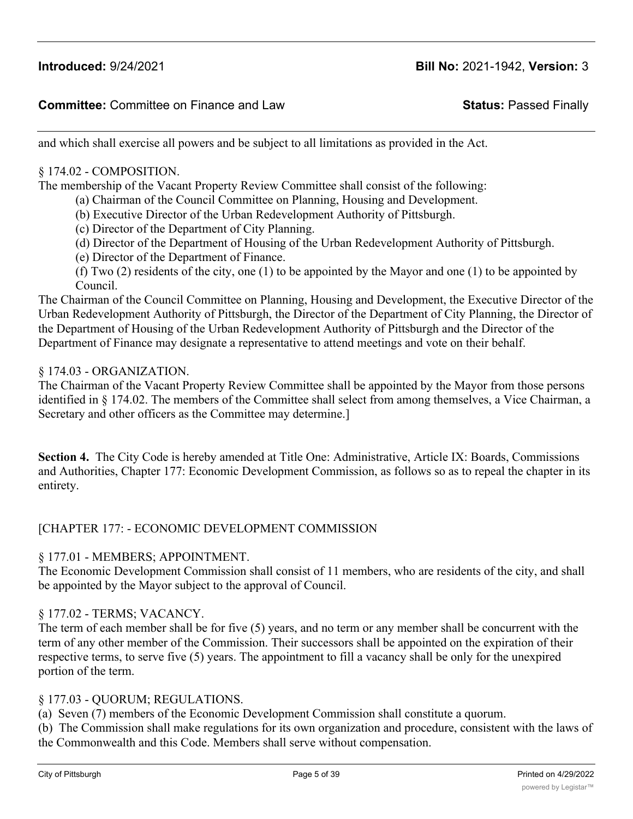and which shall exercise all powers and be subject to all limitations as provided in the Act.

### § 174.02 - COMPOSITION.

The membership of the Vacant Property Review Committee shall consist of the following:

- (a) Chairman of the Council Committee on Planning, Housing and Development.
- (b) Executive Director of the Urban Redevelopment Authority of Pittsburgh.
- (c) Director of the Department of City Planning.
- (d) Director of the Department of Housing of the Urban Redevelopment Authority of Pittsburgh.
- (e) Director of the Department of Finance.

(f) Two (2) residents of the city, one (1) to be appointed by the Mayor and one (1) to be appointed by Council.

The Chairman of the Council Committee on Planning, Housing and Development, the Executive Director of the Urban Redevelopment Authority of Pittsburgh, the Director of the Department of City Planning, the Director of the Department of Housing of the Urban Redevelopment Authority of Pittsburgh and the Director of the Department of Finance may designate a representative to attend meetings and vote on their behalf.

#### § 174.03 - ORGANIZATION.

The Chairman of the Vacant Property Review Committee shall be appointed by the Mayor from those persons identified in § 174.02. The members of the Committee shall select from among themselves, a Vice Chairman, a Secretary and other officers as the Committee may determine.]

**Section 4.** The City Code is hereby amended at Title One: Administrative, Article IX: Boards, Commissions and Authorities, Chapter 177: Economic Development Commission, as follows so as to repeal the chapter in its entirety.

#### [CHAPTER 177: - ECONOMIC DEVELOPMENT COMMISSION

#### § 177.01 - MEMBERS; APPOINTMENT.

The Economic Development Commission shall consist of 11 members, who are residents of the city, and shall be appointed by the Mayor subject to the approval of Council.

#### § 177.02 - TERMS; VACANCY.

The term of each member shall be for five (5) years, and no term or any member shall be concurrent with the term of any other member of the Commission. Their successors shall be appointed on the expiration of their respective terms, to serve five (5) years. The appointment to fill a vacancy shall be only for the unexpired portion of the term.

#### § 177.03 - QUORUM; REGULATIONS.

(a) Seven (7) members of the Economic Development Commission shall constitute a quorum.

(b) The Commission shall make regulations for its own organization and procedure, consistent with the laws of the Commonwealth and this Code. Members shall serve without compensation.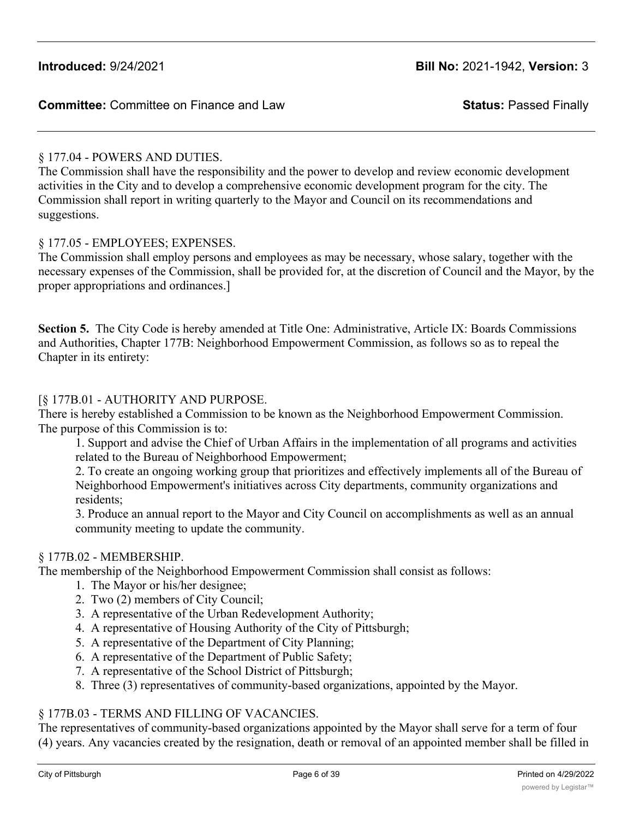# § 177.04 - POWERS AND DUTIES.

The Commission shall have the responsibility and the power to develop and review economic development activities in the City and to develop a comprehensive economic development program for the city. The Commission shall report in writing quarterly to the Mayor and Council on its recommendations and suggestions.

## § 177.05 - EMPLOYEES; EXPENSES.

The Commission shall employ persons and employees as may be necessary, whose salary, together with the necessary expenses of the Commission, shall be provided for, at the discretion of Council and the Mayor, by the proper appropriations and ordinances.]

**Section 5.** The City Code is hereby amended at Title One: Administrative, Article IX: Boards Commissions and Authorities, Chapter 177B: Neighborhood Empowerment Commission, as follows so as to repeal the Chapter in its entirety:

## [§ 177B.01 - AUTHORITY AND PURPOSE.

There is hereby established a Commission to be known as the Neighborhood Empowerment Commission. The purpose of this Commission is to:

1. Support and advise the Chief of Urban Affairs in the implementation of all programs and activities related to the Bureau of Neighborhood Empowerment;

2. To create an ongoing working group that prioritizes and effectively implements all of the Bureau of Neighborhood Empowerment's initiatives across City departments, community organizations and residents;

3. Produce an annual report to the Mayor and City Council on accomplishments as well as an annual community meeting to update the community.

# § 177B.02 - MEMBERSHIP.

The membership of the Neighborhood Empowerment Commission shall consist as follows:

- 1. The Mayor or his/her designee;
- 2. Two (2) members of City Council;
- 3. A representative of the Urban Redevelopment Authority;
- 4. A representative of Housing Authority of the City of Pittsburgh;
- 5. A representative of the Department of City Planning;
- 6. A representative of the Department of Public Safety;
- 7. A representative of the School District of Pittsburgh;
- 8. Three (3) representatives of community-based organizations, appointed by the Mayor.

# § 177B.03 - TERMS AND FILLING OF VACANCIES.

The representatives of community-based organizations appointed by the Mayor shall serve for a term of four (4) years. Any vacancies created by the resignation, death or removal of an appointed member shall be filled in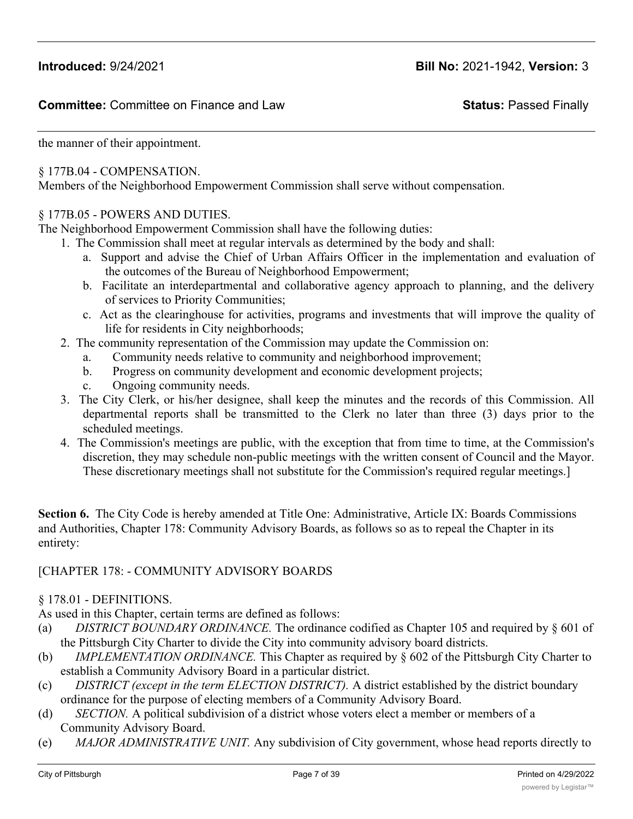the manner of their appointment.

### § 177B.04 - COMPENSATION.

Members of the Neighborhood Empowerment Commission shall serve without compensation.

#### § 177B.05 - POWERS AND DUTIES.

The Neighborhood Empowerment Commission shall have the following duties:

- 1. The Commission shall meet at regular intervals as determined by the body and shall:
	- a. Support and advise the Chief of Urban Affairs Officer in the implementation and evaluation of the outcomes of the Bureau of Neighborhood Empowerment;
	- b. Facilitate an interdepartmental and collaborative agency approach to planning, and the delivery of services to Priority Communities;
	- c. Act as the clearinghouse for activities, programs and investments that will improve the quality of life for residents in City neighborhoods;
- 2. The community representation of the Commission may update the Commission on:
	- a. Community needs relative to community and neighborhood improvement;
	- b. Progress on community development and economic development projects;
	- c. Ongoing community needs.
- 3. The City Clerk, or his/her designee, shall keep the minutes and the records of this Commission. All departmental reports shall be transmitted to the Clerk no later than three (3) days prior to the scheduled meetings.
- 4. The Commission's meetings are public, with the exception that from time to time, at the Commission's discretion, they may schedule non-public meetings with the written consent of Council and the Mayor. These discretionary meetings shall not substitute for the Commission's required regular meetings.]

**Section 6.** The City Code is hereby amended at Title One: Administrative, Article IX: Boards Commissions and Authorities, Chapter 178: Community Advisory Boards, as follows so as to repeal the Chapter in its entirety:

### [CHAPTER 178: - COMMUNITY ADVISORY BOARDS

### § 178.01 - DEFINITIONS.

As used in this Chapter, certain terms are defined as follows:

- (a) *DISTRICT BOUNDARY ORDINANCE.* The ordinance codified as Chapter 105 and required by § 601 of the Pittsburgh City Charter to divide the City into community advisory board districts.
- (b) *IMPLEMENTATION ORDINANCE.* This Chapter as required by § 602 of the Pittsburgh City Charter to establish a Community Advisory Board in a particular district.
- (c) *DISTRICT (except in the term ELECTION DISTRICT).* A district established by the district boundary ordinance for the purpose of electing members of a Community Advisory Board.
- (d) *SECTION.* A political subdivision of a district whose voters elect a member or members of a Community Advisory Board.
- (e) *MAJOR ADMINISTRATIVE UNIT.* Any subdivision of City government, whose head reports directly to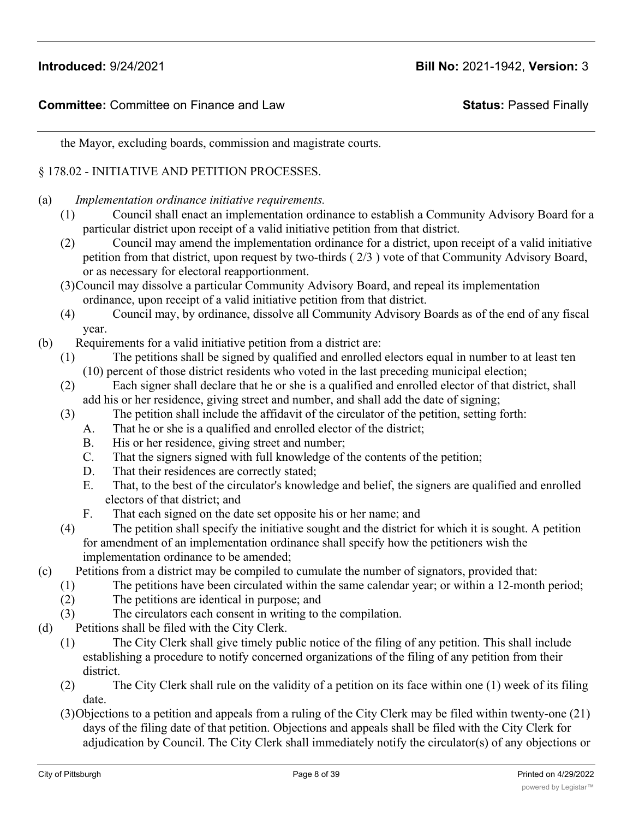the Mayor, excluding boards, commission and magistrate courts.

### § 178.02 - INITIATIVE AND PETITION PROCESSES.

- (a) *Implementation ordinance initiative requirements.*
	- (1) Council shall enact an implementation ordinance to establish a Community Advisory Board for a particular district upon receipt of a valid initiative petition from that district.
	- (2) Council may amend the implementation ordinance for a district, upon receipt of a valid initiative petition from that district, upon request by two-thirds ( 2/3 ) vote of that Community Advisory Board, or as necessary for electoral reapportionment.
	- (3)Council may dissolve a particular Community Advisory Board, and repeal its implementation ordinance, upon receipt of a valid initiative petition from that district.
	- (4) Council may, by ordinance, dissolve all Community Advisory Boards as of the end of any fiscal year.
- (b) Requirements for a valid initiative petition from a district are:
	- (1) The petitions shall be signed by qualified and enrolled electors equal in number to at least ten (10) percent of those district residents who voted in the last preceding municipal election;
	- (2) Each signer shall declare that he or she is a qualified and enrolled elector of that district, shall add his or her residence, giving street and number, and shall add the date of signing;
	- (3) The petition shall include the affidavit of the circulator of the petition, setting forth:
		- A. That he or she is a qualified and enrolled elector of the district;
		- B. His or her residence, giving street and number;
		- C. That the signers signed with full knowledge of the contents of the petition;
		- D. That their residences are correctly stated;
		- E. That, to the best of the circulator's knowledge and belief, the signers are qualified and enrolled electors of that district; and
		- F. That each signed on the date set opposite his or her name; and
	- (4) The petition shall specify the initiative sought and the district for which it is sought. A petition for amendment of an implementation ordinance shall specify how the petitioners wish the implementation ordinance to be amended;
- (c) Petitions from a district may be compiled to cumulate the number of signators, provided that:
	- (1) The petitions have been circulated within the same calendar year; or within a 12-month period;
	- (2) The petitions are identical in purpose; and
	- (3) The circulators each consent in writing to the compilation.
- (d) Petitions shall be filed with the City Clerk.
	- (1) The City Clerk shall give timely public notice of the filing of any petition. This shall include establishing a procedure to notify concerned organizations of the filing of any petition from their district.
	- (2) The City Clerk shall rule on the validity of a petition on its face within one (1) week of its filing date.
	- (3)Objections to a petition and appeals from a ruling of the City Clerk may be filed within twenty-one (21) days of the filing date of that petition. Objections and appeals shall be filed with the City Clerk for adjudication by Council. The City Clerk shall immediately notify the circulator(s) of any objections or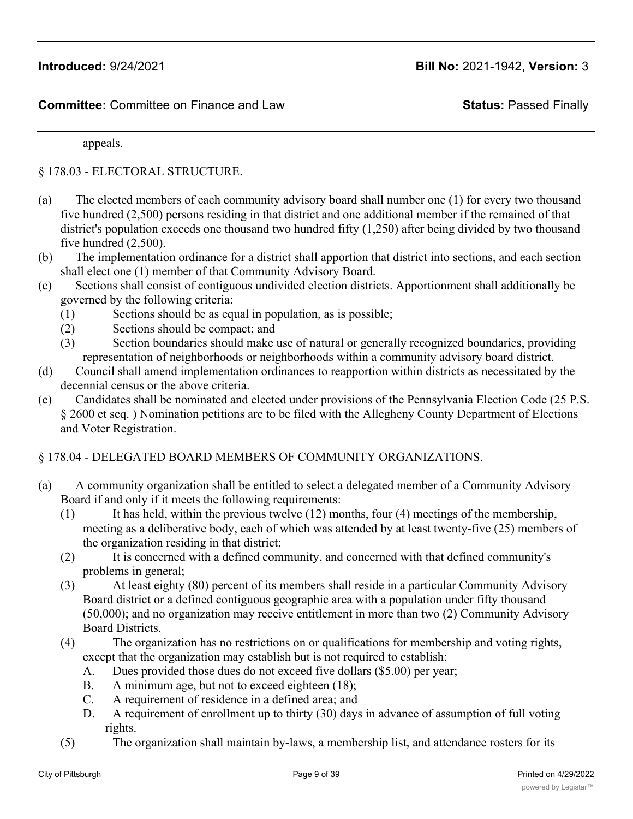appeals.

§ 178.03 - ELECTORAL STRUCTURE.

- (a) The elected members of each community advisory board shall number one (1) for every two thousand five hundred (2,500) persons residing in that district and one additional member if the remained of that district's population exceeds one thousand two hundred fifty (1,250) after being divided by two thousand five hundred (2,500).
- (b) The implementation ordinance for a district shall apportion that district into sections, and each section shall elect one (1) member of that Community Advisory Board.
- (c) Sections shall consist of contiguous undivided election districts. Apportionment shall additionally be governed by the following criteria:
	- (1) Sections should be as equal in population, as is possible;
	- (2) Sections should be compact; and
	- (3) Section boundaries should make use of natural or generally recognized boundaries, providing representation of neighborhoods or neighborhoods within a community advisory board district.
- (d) Council shall amend implementation ordinances to reapportion within districts as necessitated by the decennial census or the above criteria.
- (e) Candidates shall be nominated and elected under provisions of the Pennsylvania Election Code (25 P.S. § 2600 et seq. ) Nomination petitions are to be filed with the Allegheny County Department of Elections and Voter Registration.

#### § 178.04 - DELEGATED BOARD MEMBERS OF COMMUNITY ORGANIZATIONS.

- (a) A community organization shall be entitled to select a delegated member of a Community Advisory Board if and only if it meets the following requirements:
	- (1) It has held, within the previous twelve  $(12)$  months, four  $(4)$  meetings of the membership, meeting as a deliberative body, each of which was attended by at least twenty-five (25) members of the organization residing in that district;
	- (2) It is concerned with a defined community, and concerned with that defined community's problems in general;
	- (3) At least eighty (80) percent of its members shall reside in a particular Community Advisory Board district or a defined contiguous geographic area with a population under fifty thousand (50,000); and no organization may receive entitlement in more than two (2) Community Advisory Board Districts.
	- (4) The organization has no restrictions on or qualifications for membership and voting rights, except that the organization may establish but is not required to establish:
		- A. Dues provided those dues do not exceed five dollars (\$5.00) per year;
		- B. A minimum age, but not to exceed eighteen (18);
		- C. A requirement of residence in a defined area; and
		- D. A requirement of enrollment up to thirty (30) days in advance of assumption of full voting rights.
	- (5) The organization shall maintain by-laws, a membership list, and attendance rosters for its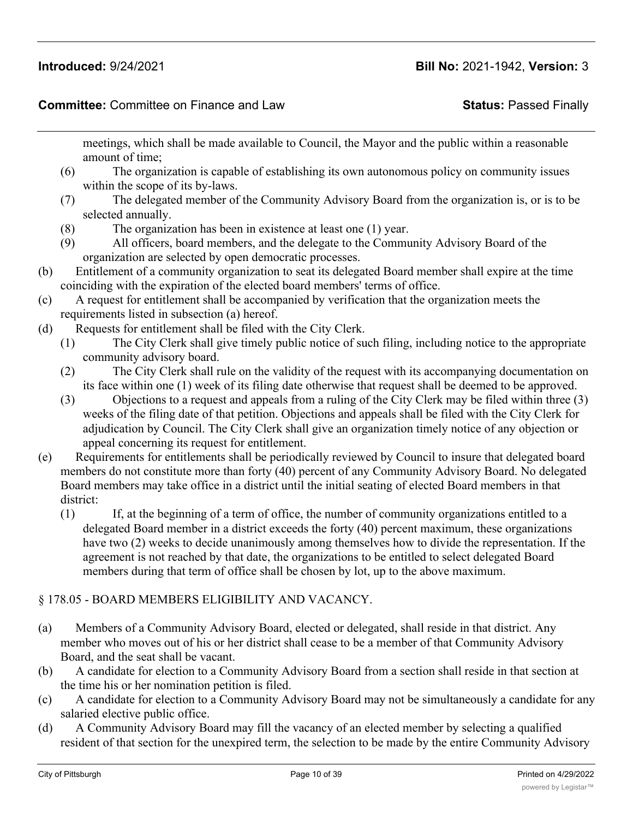### **Committee:** Committee on Finance and Law **Status:** Passed Finally

meetings, which shall be made available to Council, the Mayor and the public within a reasonable amount of time;

- (6) The organization is capable of establishing its own autonomous policy on community issues within the scope of its by-laws.
- (7) The delegated member of the Community Advisory Board from the organization is, or is to be selected annually.
- (8) The organization has been in existence at least one (1) year.
- (9) All officers, board members, and the delegate to the Community Advisory Board of the organization are selected by open democratic processes.
- (b) Entitlement of a community organization to seat its delegated Board member shall expire at the time coinciding with the expiration of the elected board members' terms of office.
- (c) A request for entitlement shall be accompanied by verification that the organization meets the requirements listed in subsection (a) hereof.
- (d) Requests for entitlement shall be filed with the City Clerk.
	- (1) The City Clerk shall give timely public notice of such filing, including notice to the appropriate community advisory board.
	- (2) The City Clerk shall rule on the validity of the request with its accompanying documentation on its face within one (1) week of its filing date otherwise that request shall be deemed to be approved.
	- (3) Objections to a request and appeals from a ruling of the City Clerk may be filed within three (3) weeks of the filing date of that petition. Objections and appeals shall be filed with the City Clerk for adjudication by Council. The City Clerk shall give an organization timely notice of any objection or appeal concerning its request for entitlement.
- (e) Requirements for entitlements shall be periodically reviewed by Council to insure that delegated board members do not constitute more than forty (40) percent of any Community Advisory Board. No delegated Board members may take office in a district until the initial seating of elected Board members in that district:
	- (1) If, at the beginning of a term of office, the number of community organizations entitled to a delegated Board member in a district exceeds the forty (40) percent maximum, these organizations have two (2) weeks to decide unanimously among themselves how to divide the representation. If the agreement is not reached by that date, the organizations to be entitled to select delegated Board members during that term of office shall be chosen by lot, up to the above maximum.

## § 178.05 - BOARD MEMBERS ELIGIBILITY AND VACANCY.

- (a) Members of a Community Advisory Board, elected or delegated, shall reside in that district. Any member who moves out of his or her district shall cease to be a member of that Community Advisory Board, and the seat shall be vacant.
- (b) A candidate for election to a Community Advisory Board from a section shall reside in that section at the time his or her nomination petition is filed.
- (c) A candidate for election to a Community Advisory Board may not be simultaneously a candidate for any salaried elective public office.
- (d) A Community Advisory Board may fill the vacancy of an elected member by selecting a qualified resident of that section for the unexpired term, the selection to be made by the entire Community Advisory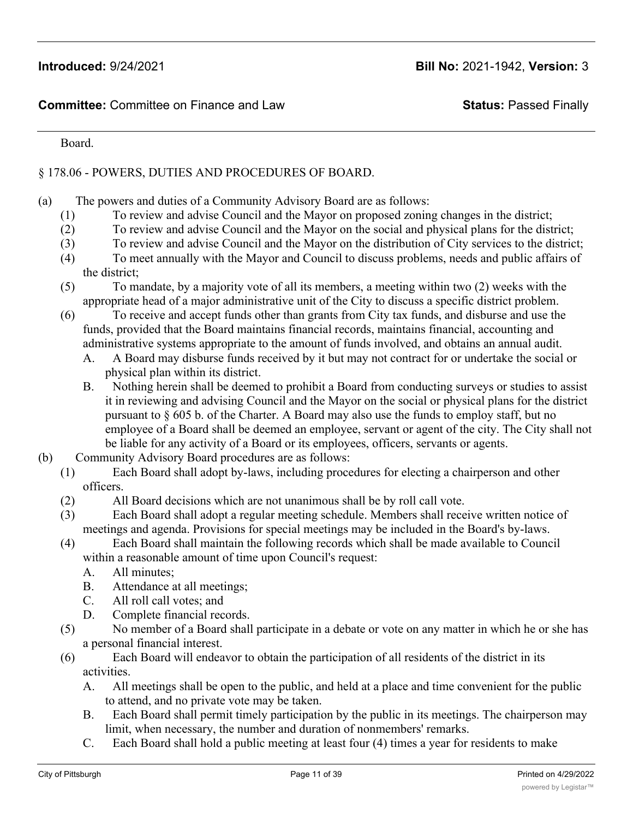#### Board.

## § 178.06 - POWERS, DUTIES AND PROCEDURES OF BOARD.

- (a) The powers and duties of a Community Advisory Board are as follows:
	- (1) To review and advise Council and the Mayor on proposed zoning changes in the district;
	- (2) To review and advise Council and the Mayor on the social and physical plans for the district;
	- (3) To review and advise Council and the Mayor on the distribution of City services to the district;
	- (4) To meet annually with the Mayor and Council to discuss problems, needs and public affairs of the district;
	- (5) To mandate, by a majority vote of all its members, a meeting within two (2) weeks with the appropriate head of a major administrative unit of the City to discuss a specific district problem.
	- (6) To receive and accept funds other than grants from City tax funds, and disburse and use the funds, provided that the Board maintains financial records, maintains financial, accounting and administrative systems appropriate to the amount of funds involved, and obtains an annual audit.
		- A. A Board may disburse funds received by it but may not contract for or undertake the social or physical plan within its district.
		- B. Nothing herein shall be deemed to prohibit a Board from conducting surveys or studies to assist it in reviewing and advising Council and the Mayor on the social or physical plans for the district pursuant to § 605 b. of the Charter. A Board may also use the funds to employ staff, but no employee of a Board shall be deemed an employee, servant or agent of the city. The City shall not be liable for any activity of a Board or its employees, officers, servants or agents.
- (b) Community Advisory Board procedures are as follows:
	- (1) Each Board shall adopt by-laws, including procedures for electing a chairperson and other officers.
	- (2) All Board decisions which are not unanimous shall be by roll call vote.
	- (3) Each Board shall adopt a regular meeting schedule. Members shall receive written notice of meetings and agenda. Provisions for special meetings may be included in the Board's by-laws.
	- (4) Each Board shall maintain the following records which shall be made available to Council
		- within a reasonable amount of time upon Council's request:
		- A. All minutes;
		- B. Attendance at all meetings;
		- C. All roll call votes; and
		- D. Complete financial records.
	- (5) No member of a Board shall participate in a debate or vote on any matter in which he or she has a personal financial interest.
	- (6) Each Board will endeavor to obtain the participation of all residents of the district in its activities.
		- A. All meetings shall be open to the public, and held at a place and time convenient for the public to attend, and no private vote may be taken.
		- B. Each Board shall permit timely participation by the public in its meetings. The chairperson may limit, when necessary, the number and duration of nonmembers' remarks.
		- C. Each Board shall hold a public meeting at least four (4) times a year for residents to make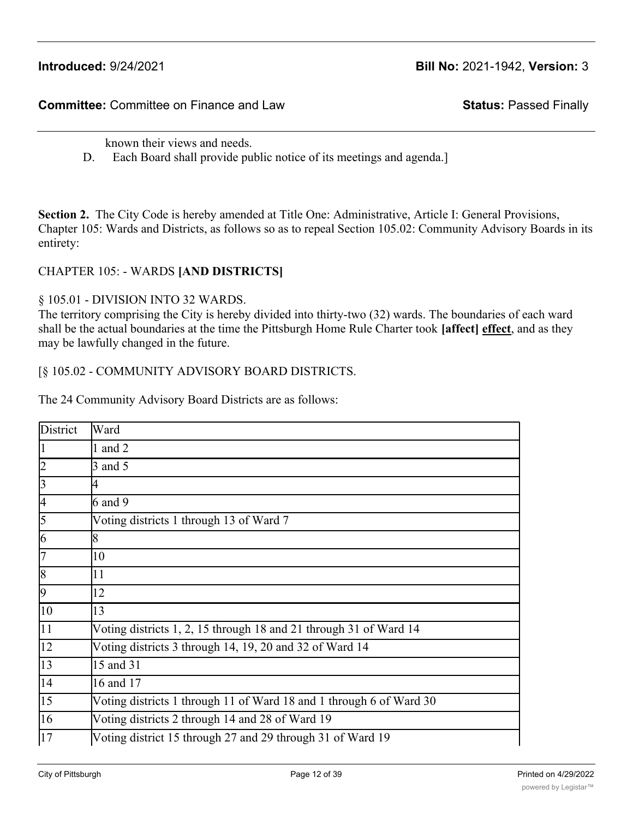**Committee:** Committee on Finance and Law **Status:** Passed Finally

known their views and needs.

D. Each Board shall provide public notice of its meetings and agenda.]

**Section 2.** The City Code is hereby amended at Title One: Administrative, Article I: General Provisions, Chapter 105: Wards and Districts, as follows so as to repeal Section 105.02: Community Advisory Boards in its entirety:

#### CHAPTER 105: - WARDS **[AND DISTRICTS]**

#### § 105.01 - DIVISION INTO 32 WARDS.

The territory comprising the City is hereby divided into thirty-two (32) wards. The boundaries of each ward shall be the actual boundaries at the time the Pittsburgh Home Rule Charter took **[affect] effect**, and as they may be lawfully changed in the future.

#### [§ 105.02 - COMMUNITY ADVISORY BOARD DISTRICTS.

The 24 Community Advisory Board Districts are as follows:

| District         | Ward                                                                |
|------------------|---------------------------------------------------------------------|
|                  | 1 and $2$                                                           |
|                  | $3$ and $5$                                                         |
| 13               | 4                                                                   |
| 14               | $6$ and $9$                                                         |
| 5                | Voting districts 1 through 13 of Ward 7                             |
| 16               | 8                                                                   |
|                  | 10                                                                  |
| 8                | 11                                                                  |
| 19               | 12                                                                  |
| 10               | 13                                                                  |
| 11               | Voting districts 1, 2, 15 through 18 and 21 through 31 of Ward 14   |
| 12               | Voting districts 3 through 14, 19, 20 and 32 of Ward 14             |
| 13               | 15 and 31                                                           |
| 14               | 16 and 17                                                           |
| $\vert 15 \vert$ | Voting districts 1 through 11 of Ward 18 and 1 through 6 of Ward 30 |
| 16               | Voting districts 2 through 14 and 28 of Ward 19                     |
| 17               | Voting district 15 through 27 and 29 through 31 of Ward 19          |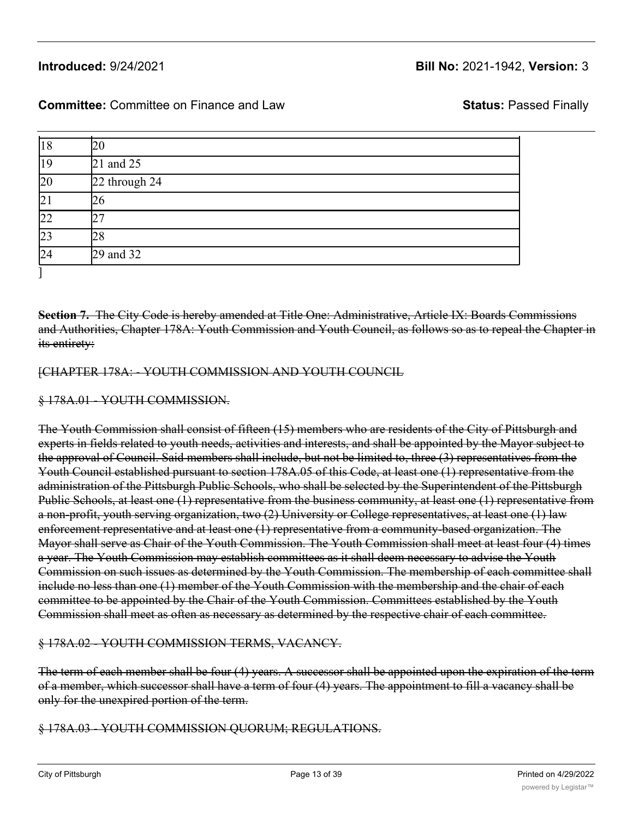## 13 15 and 31  $\frac{1}{16}$  outcomed.  $\frac{1}{2}$

## **Introduced:** 9/24/2021 **Bill No:** 2021-1942, **Version:** 3

# **Committee:** Committee on Finance and Law **Status:** Passed Finally

12 Voting districts 3 through 14, 19, 20 and 32 of Ward 14

| 18              | 20            |  |
|-----------------|---------------|--|
| 19              | 21 and 25     |  |
| 20              | 22 through 24 |  |
| 21              | 26            |  |
| $\overline{22}$ | າາ            |  |
| 23              | 28            |  |
| 24              | 29 and 32     |  |

**Section 7.** The City Code is hereby amended at Title One: Administrative, Article IX: Boards Commissions and Authorities, Chapter 178A: Youth Commission and Youth Council, as follows so as to repeal the Chapter in its entirety:

#### [CHAPTER 178A: - YOUTH COMMISSION AND YOUTH COUNCIL

#### § 178A.01 - YOUTH COMMISSION.

The Youth Commission shall consist of fifteen (15) members who are residents of the City of Pittsburgh and experts in fields related to youth needs, activities and interests, and shall be appointed by the Mayor subject to the approval of Council. Said members shall include, but not be limited to, three (3) representatives from the Youth Council established pursuant to section 178A.05 of this Code, at least one (1) representative from the administration of the Pittsburgh Public Schools, who shall be selected by the Superintendent of the Pittsburgh Public Schools, at least one (1) representative from the business community, at least one (1) representative from a non-profit, youth serving organization, two (2) University or College representatives, at least one (1) law enforcement representative and at least one (1) representative from a community-based organization. The Mayor shall serve as Chair of the Youth Commission. The Youth Commission shall meet at least four (4) times a year. The Youth Commission may establish committees as it shall deem necessary to advise the Youth Commission on such issues as determined by the Youth Commission. The membership of each committee shall include no less than one (1) member of the Youth Commission with the membership and the chair of each committee to be appointed by the Chair of the Youth Commission. Committees established by the Youth Commission shall meet as often as necessary as determined by the respective chair of each committee.

#### § 178A.02 - YOUTH COMMISSION TERMS, VACANCY.

The term of each member shall be four (4) years. A successor shall be appointed upon the expiration of the term of a member, which successor shall have a term of four (4) years. The appointment to fill a vacancy shall be only for the unexpired portion of the term.

#### § 178A.03 - YOUTH COMMISSION QUORUM; REGULATIONS.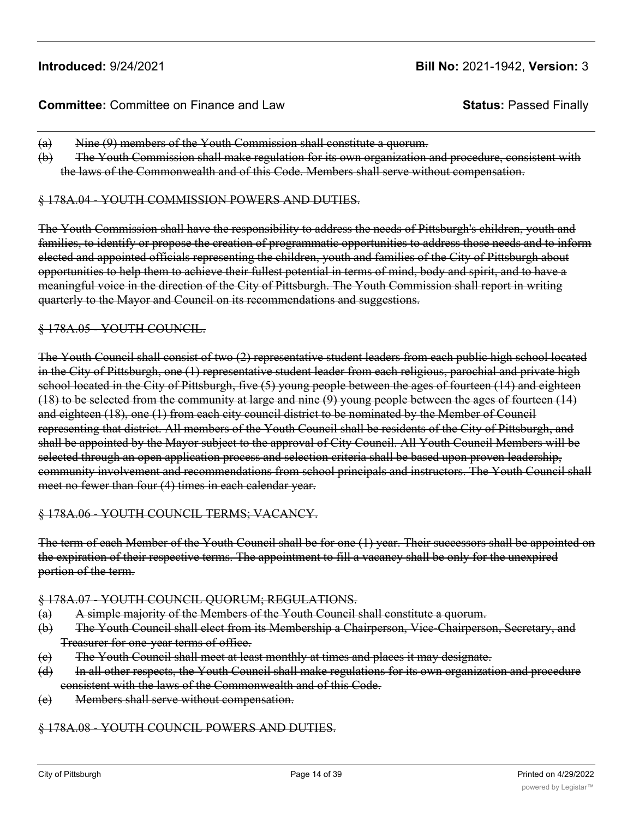### **Committee:** Committee on Finance and Law **Status:** Passed Finally

- (a) Nine (9) members of the Youth Commission shall constitute a quorum.
- (b) The Youth Commission shall make regulation for its own organization and procedure, consistent with the laws of the Commonwealth and of this Code. Members shall serve without compensation.

#### § 178A.04 - YOUTH COMMISSION POWERS AND DUTIES.

The Youth Commission shall have the responsibility to address the needs of Pittsburgh's children, youth and families, to identify or propose the creation of programmatic opportunities to address those needs and to inform elected and appointed officials representing the children, youth and families of the City of Pittsburgh about opportunities to help them to achieve their fullest potential in terms of mind, body and spirit, and to have a meaningful voice in the direction of the City of Pittsburgh. The Youth Commission shall report in writing quarterly to the Mayor and Council on its recommendations and suggestions.

#### § 178A.05 - YOUTH COUNCIL.

The Youth Council shall consist of two (2) representative student leaders from each public high school located in the City of Pittsburgh, one (1) representative student leader from each religious, parochial and private high school located in the City of Pittsburgh, five (5) young people between the ages of fourteen (14) and eighteen (18) to be selected from the community at large and nine (9) young people between the ages of fourteen (14) and eighteen (18), one (1) from each city council district to be nominated by the Member of Council representing that district. All members of the Youth Council shall be residents of the City of Pittsburgh, and shall be appointed by the Mayor subject to the approval of City Council. All Youth Council Members will be selected through an open application process and selection criteria shall be based upon proven leadership, community involvement and recommendations from school principals and instructors. The Youth Council shall meet no fewer than four (4) times in each calendar year.

#### § 178A.06 - YOUTH COUNCIL TERMS; VACANCY.

The term of each Member of the Youth Council shall be for one (1) year. Their successors shall be appointed on the expiration of their respective terms. The appointment to fill a vacancy shall be only for the unexpired portion of the term.

#### § 178A.07 - YOUTH COUNCIL QUORUM; REGULATIONS.

- (a) A simple majority of the Members of the Youth Council shall constitute a quorum.
- (b) The Youth Council shall elect from its Membership a Chairperson, Vice-Chairperson, Secretary, and Treasurer for one-year terms of office.
- (c) The Youth Council shall meet at least monthly at times and places it may designate.
- (d) In all other respects, the Youth Council shall make regulations for its own organization and procedure consistent with the laws of the Commonwealth and of this Code.
- (e) Members shall serve without compensation.

#### § 178A.08 - YOUTH COUNCIL POWERS AND DUTIES.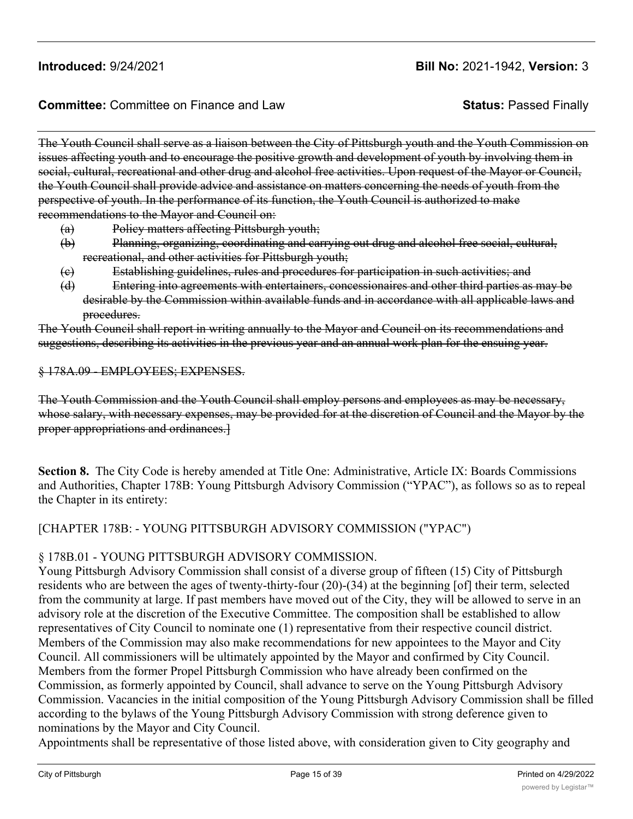## **Committee:** Committee on Finance and Law **Status:** Passed Finally

The Youth Council shall serve as a liaison between the City of Pittsburgh youth and the Youth Commission on issues affecting youth and to encourage the positive growth and development of youth by involving them in social, cultural, recreational and other drug and alcohol free activities. Upon request of the Mayor or Council, the Youth Council shall provide advice and assistance on matters concerning the needs of youth from the perspective of youth. In the performance of its function, the Youth Council is authorized to make recommendations to the Mayor and Council on:

- (a) Policy matters affecting Pittsburgh youth;
- (b) Planning, organizing, coordinating and carrying out drug and alcohol free social, cultural, recreational, and other activities for Pittsburgh youth;
- (c) Establishing guidelines, rules and procedures for participation in such activities; and
- (d) Entering into agreements with entertainers, concessionaires and other third parties as may be desirable by the Commission within available funds and in accordance with all applicable laws and procedures.

The Youth Council shall report in writing annually to the Mayor and Council on its recommendations and suggestions, describing its activities in the previous year and an annual work plan for the ensuing year.

#### § 178A.09 - EMPLOYEES; EXPENSES.

The Youth Commission and the Youth Council shall employ persons and employees as may be necessary, whose salary, with necessary expenses, may be provided for at the discretion of Council and the Mayor by the proper appropriations and ordinances.]

**Section 8.** The City Code is hereby amended at Title One: Administrative, Article IX: Boards Commissions and Authorities, Chapter 178B: Young Pittsburgh Advisory Commission ("YPAC"), as follows so as to repeal the Chapter in its entirety:

### [CHAPTER 178B: - YOUNG PITTSBURGH ADVISORY COMMISSION ("YPAC")

#### § 178B.01 - YOUNG PITTSBURGH ADVISORY COMMISSION.

Young Pittsburgh Advisory Commission shall consist of a diverse group of fifteen (15) City of Pittsburgh residents who are between the ages of twenty-thirty-four (20)-(34) at the beginning [of] their term, selected from the community at large. If past members have moved out of the City, they will be allowed to serve in an advisory role at the discretion of the Executive Committee. The composition shall be established to allow representatives of City Council to nominate one (1) representative from their respective council district. Members of the Commission may also make recommendations for new appointees to the Mayor and City Council. All commissioners will be ultimately appointed by the Mayor and confirmed by City Council. Members from the former Propel Pittsburgh Commission who have already been confirmed on the Commission, as formerly appointed by Council, shall advance to serve on the Young Pittsburgh Advisory Commission. Vacancies in the initial composition of the Young Pittsburgh Advisory Commission shall be filled according to the bylaws of the Young Pittsburgh Advisory Commission with strong deference given to nominations by the Mayor and City Council.

Appointments shall be representative of those listed above, with consideration given to City geography and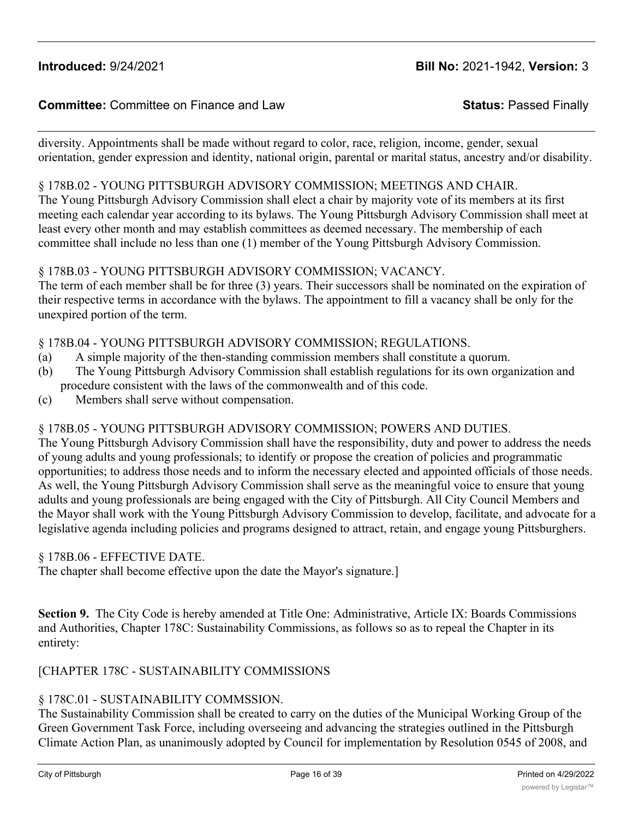# **Committee:** Committee on Finance and Law **Status:** Passed Finally

diversity. Appointments shall be made without regard to color, race, religion, income, gender, sexual orientation, gender expression and identity, national origin, parental or marital status, ancestry and/or disability.

#### § 178B.02 - YOUNG PITTSBURGH ADVISORY COMMISSION; MEETINGS AND CHAIR.

The Young Pittsburgh Advisory Commission shall elect a chair by majority vote of its members at its first meeting each calendar year according to its bylaws. The Young Pittsburgh Advisory Commission shall meet at least every other month and may establish committees as deemed necessary. The membership of each committee shall include no less than one (1) member of the Young Pittsburgh Advisory Commission.

#### § 178B.03 - YOUNG PITTSBURGH ADVISORY COMMISSION; VACANCY.

The term of each member shall be for three (3) years. Their successors shall be nominated on the expiration of their respective terms in accordance with the bylaws. The appointment to fill a vacancy shall be only for the unexpired portion of the term.

#### § 178B.04 - YOUNG PITTSBURGH ADVISORY COMMISSION; REGULATIONS.

- (a) A simple majority of the then-standing commission members shall constitute a quorum.
- (b) The Young Pittsburgh Advisory Commission shall establish regulations for its own organization and procedure consistent with the laws of the commonwealth and of this code.
- (c) Members shall serve without compensation.

### § 178B.05 - YOUNG PITTSBURGH ADVISORY COMMISSION; POWERS AND DUTIES.

The Young Pittsburgh Advisory Commission shall have the responsibility, duty and power to address the needs of young adults and young professionals; to identify or propose the creation of policies and programmatic opportunities; to address those needs and to inform the necessary elected and appointed officials of those needs. As well, the Young Pittsburgh Advisory Commission shall serve as the meaningful voice to ensure that young adults and young professionals are being engaged with the City of Pittsburgh. All City Council Members and the Mayor shall work with the Young Pittsburgh Advisory Commission to develop, facilitate, and advocate for a legislative agenda including policies and programs designed to attract, retain, and engage young Pittsburghers.

#### § 178B.06 - EFFECTIVE DATE.

The chapter shall become effective upon the date the Mayor's signature.]

**Section 9.** The City Code is hereby amended at Title One: Administrative, Article IX: Boards Commissions and Authorities, Chapter 178C: Sustainability Commissions, as follows so as to repeal the Chapter in its entirety:

### [CHAPTER 178C - SUSTAINABILITY COMMISSIONS

### § 178C.01 - SUSTAINABILITY COMMSSION.

The Sustainability Commission shall be created to carry on the duties of the Municipal Working Group of the Green Government Task Force, including overseeing and advancing the strategies outlined in the Pittsburgh Climate Action Plan, as unanimously adopted by Council for implementation by Resolution 0545 of 2008, and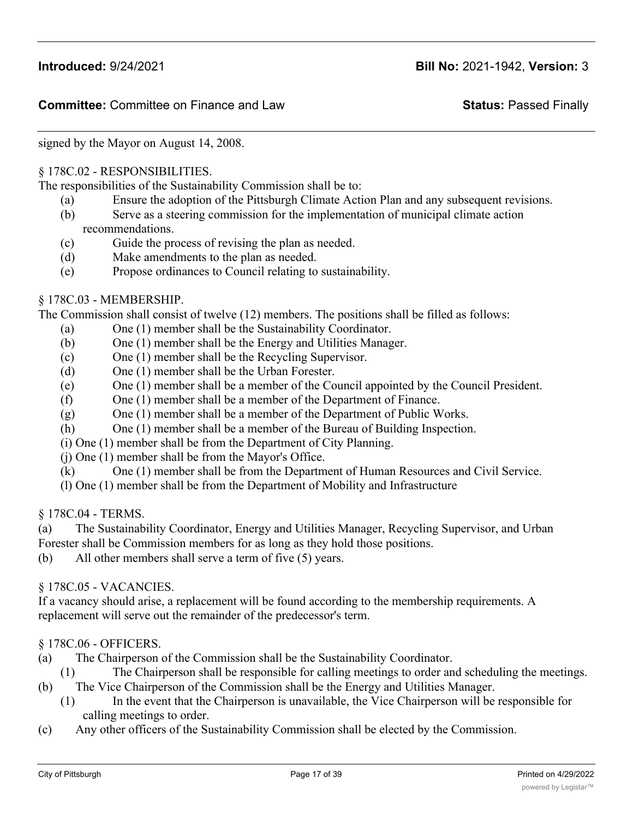signed by the Mayor on August 14, 2008.

#### § 178C.02 - RESPONSIBILITIES.

The responsibilities of the Sustainability Commission shall be to:

- (a) Ensure the adoption of the Pittsburgh Climate Action Plan and any subsequent revisions.
- (b) Serve as a steering commission for the implementation of municipal climate action recommendations.
- (c) Guide the process of revising the plan as needed.
- (d) Make amendments to the plan as needed.
- (e) Propose ordinances to Council relating to sustainability.

#### § 178C.03 - MEMBERSHIP.

The Commission shall consist of twelve (12) members. The positions shall be filled as follows:

- (a) One (1) member shall be the Sustainability Coordinator.
- (b) One (1) member shall be the Energy and Utilities Manager.
- (c) One (1) member shall be the Recycling Supervisor.
- (d) One (1) member shall be the Urban Forester.
- (e) One (1) member shall be a member of the Council appointed by the Council President.
- (f) One (1) member shall be a member of the Department of Finance.
- (g) One (1) member shall be a member of the Department of Public Works.
- (h) One (1) member shall be a member of the Bureau of Building Inspection.
- (i) One (1) member shall be from the Department of City Planning.
- (j) One (1) member shall be from the Mayor's Office.
- (k) One (1) member shall be from the Department of Human Resources and Civil Service.
- (l) One (1) member shall be from the Department of Mobility and Infrastructure

§ 178C.04 - TERMS.

- (a) The Sustainability Coordinator, Energy and Utilities Manager, Recycling Supervisor, and Urban
- Forester shall be Commission members for as long as they hold those positions.
- (b) All other members shall serve a term of five (5) years.

#### § 178C.05 - VACANCIES.

If a vacancy should arise, a replacement will be found according to the membership requirements. A replacement will serve out the remainder of the predecessor's term.

### § 178C.06 - OFFICERS.

- (a) The Chairperson of the Commission shall be the Sustainability Coordinator.
- (1) The Chairperson shall be responsible for calling meetings to order and scheduling the meetings.
- (b) The Vice Chairperson of the Commission shall be the Energy and Utilities Manager.
	- (1) In the event that the Chairperson is unavailable, the Vice Chairperson will be responsible for calling meetings to order.
- (c) Any other officers of the Sustainability Commission shall be elected by the Commission.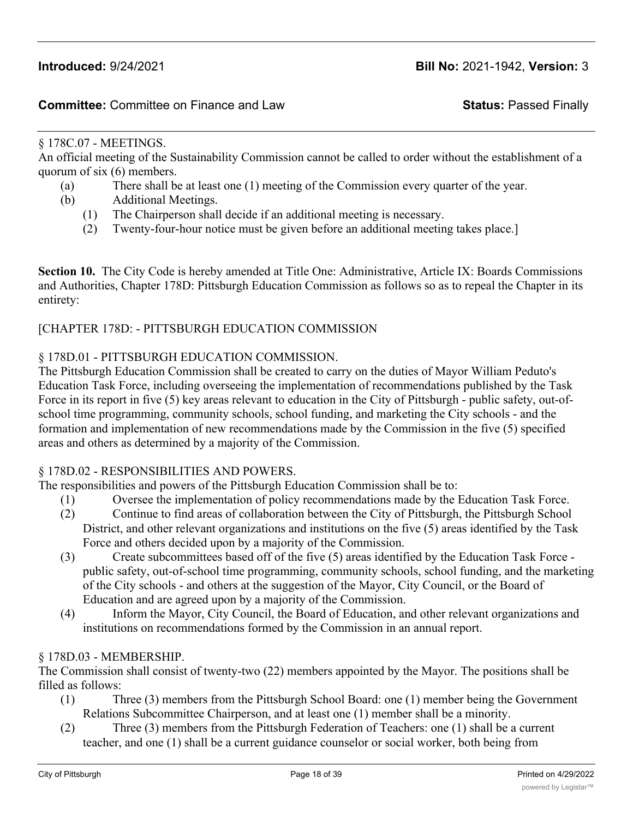#### § 178C.07 - MEETINGS.

An official meeting of the Sustainability Commission cannot be called to order without the establishment of a quorum of six (6) members.

- (a) There shall be at least one (1) meeting of the Commission every quarter of the year.
- (b) Additional Meetings.
	- (1) The Chairperson shall decide if an additional meeting is necessary.
	- (2) Twenty-four-hour notice must be given before an additional meeting takes place.]

**Section 10.** The City Code is hereby amended at Title One: Administrative, Article IX: Boards Commissions and Authorities, Chapter 178D: Pittsburgh Education Commission as follows so as to repeal the Chapter in its entirety:

#### [CHAPTER 178D: - PITTSBURGH EDUCATION COMMISSION

#### § 178D.01 - PITTSBURGH EDUCATION COMMISSION.

The Pittsburgh Education Commission shall be created to carry on the duties of Mayor William Peduto's Education Task Force, including overseeing the implementation of recommendations published by the Task Force in its report in five (5) key areas relevant to education in the City of Pittsburgh - public safety, out-ofschool time programming, community schools, school funding, and marketing the City schools - and the formation and implementation of new recommendations made by the Commission in the five (5) specified areas and others as determined by a majority of the Commission.

#### § 178D.02 - RESPONSIBILITIES AND POWERS.

The responsibilities and powers of the Pittsburgh Education Commission shall be to:

- (1) Oversee the implementation of policy recommendations made by the Education Task Force.
- (2) Continue to find areas of collaboration between the City of Pittsburgh, the Pittsburgh School District, and other relevant organizations and institutions on the five (5) areas identified by the Task Force and others decided upon by a majority of the Commission.
- (3) Create subcommittees based off of the five (5) areas identified by the Education Task Force public safety, out-of-school time programming, community schools, school funding, and the marketing of the City schools - and others at the suggestion of the Mayor, City Council, or the Board of Education and are agreed upon by a majority of the Commission.
- (4) Inform the Mayor, City Council, the Board of Education, and other relevant organizations and institutions on recommendations formed by the Commission in an annual report.

#### § 178D.03 - MEMBERSHIP.

The Commission shall consist of twenty-two (22) members appointed by the Mayor. The positions shall be filled as follows:

- (1) Three (3) members from the Pittsburgh School Board: one (1) member being the Government Relations Subcommittee Chairperson, and at least one (1) member shall be a minority.
- (2) Three (3) members from the Pittsburgh Federation of Teachers: one (1) shall be a current teacher, and one (1) shall be a current guidance counselor or social worker, both being from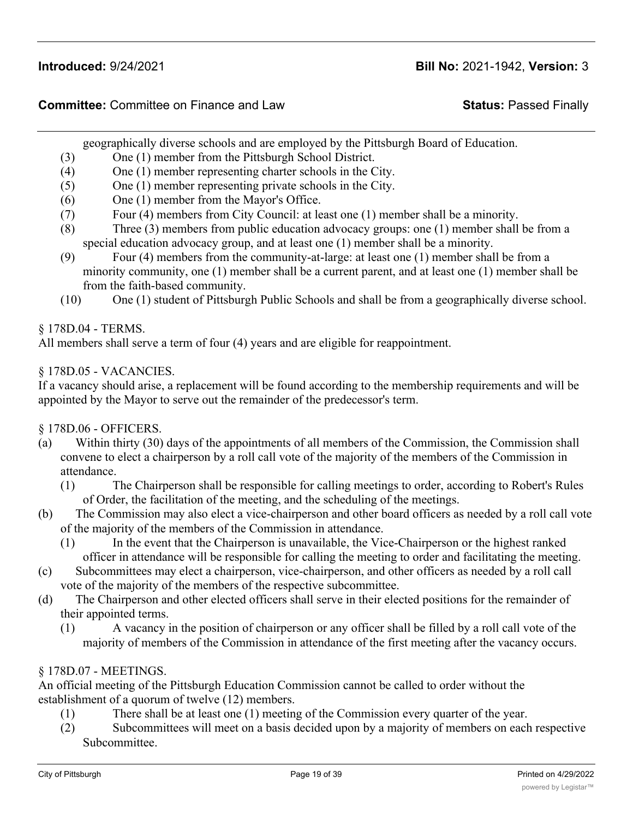geographically diverse schools and are employed by the Pittsburgh Board of Education.

- (3) One (1) member from the Pittsburgh School District.
- (4) One (1) member representing charter schools in the City.
- (5) One (1) member representing private schools in the City.
- (6) One (1) member from the Mayor's Office.
- (7) Four (4) members from City Council: at least one (1) member shall be a minority.
- (8) Three (3) members from public education advocacy groups: one (1) member shall be from a special education advocacy group, and at least one (1) member shall be a minority.
- (9) Four (4) members from the community-at-large: at least one (1) member shall be from a minority community, one (1) member shall be a current parent, and at least one (1) member shall be from the faith-based community.
- (10) One (1) student of Pittsburgh Public Schools and shall be from a geographically diverse school.

§ 178D.04 - TERMS.

All members shall serve a term of four (4) years and are eligible for reappointment.

### § 178D.05 - VACANCIES.

If a vacancy should arise, a replacement will be found according to the membership requirements and will be appointed by the Mayor to serve out the remainder of the predecessor's term.

§ 178D.06 - OFFICERS.

- (a) Within thirty (30) days of the appointments of all members of the Commission, the Commission shall convene to elect a chairperson by a roll call vote of the majority of the members of the Commission in attendance.
	- (1) The Chairperson shall be responsible for calling meetings to order, according to Robert's Rules of Order, the facilitation of the meeting, and the scheduling of the meetings.
- (b) The Commission may also elect a vice-chairperson and other board officers as needed by a roll call vote of the majority of the members of the Commission in attendance.
	- (1) In the event that the Chairperson is unavailable, the Vice-Chairperson or the highest ranked officer in attendance will be responsible for calling the meeting to order and facilitating the meeting.
- (c) Subcommittees may elect a chairperson, vice-chairperson, and other officers as needed by a roll call vote of the majority of the members of the respective subcommittee.
- (d) The Chairperson and other elected officers shall serve in their elected positions for the remainder of their appointed terms.
	- (1) A vacancy in the position of chairperson or any officer shall be filled by a roll call vote of the majority of members of the Commission in attendance of the first meeting after the vacancy occurs.

## § 178D.07 - MEETINGS.

An official meeting of the Pittsburgh Education Commission cannot be called to order without the establishment of a quorum of twelve (12) members.

- (1) There shall be at least one (1) meeting of the Commission every quarter of the year.
- (2) Subcommittees will meet on a basis decided upon by a majority of members on each respective Subcommittee.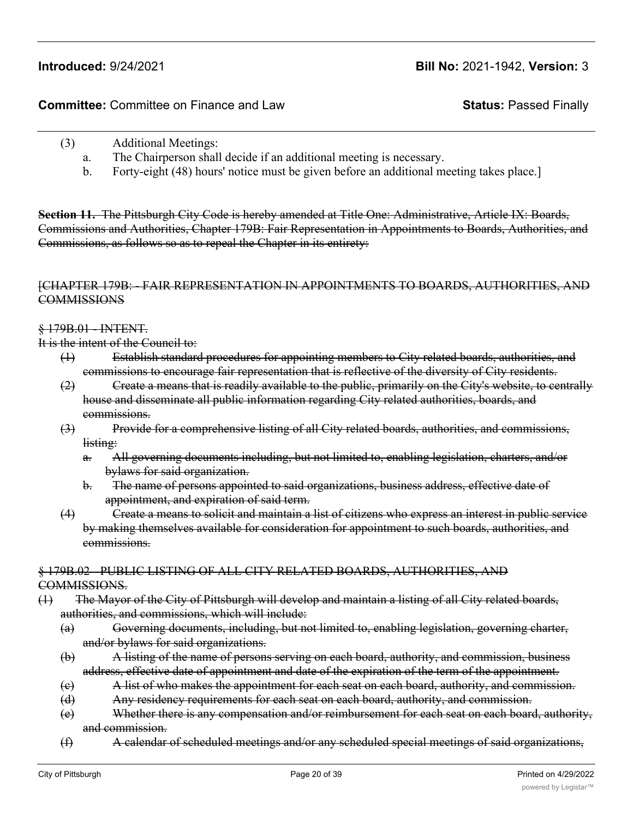- (3) Additional Meetings:
	- a. The Chairperson shall decide if an additional meeting is necessary.
	- b. Forty-eight (48) hours' notice must be given before an additional meeting takes place.]

**Section 11.** The Pittsburgh City Code is hereby amended at Title One: Administrative, Article IX: Boards, Commissions and Authorities, Chapter 179B: Fair Representation in Appointments to Boards, Authorities, and Commissions, as follows so as to repeal the Chapter in its entirety:

#### [CHAPTER 179B: - FAIR REPRESENTATION IN APPOINTMENTS TO BOARDS, AUTHORITIES, AND **COMMISSIONS**

§ 179B.01 - INTENT.

It is the intent of the Council to:

- (1) Establish standard procedures for appointing members to City related boards, authorities, and commissions to encourage fair representation that is reflective of the diversity of City residents.
- (2) Create a means that is readily available to the public, primarily on the City's website, to centrally house and disseminate all public information regarding City related authorities, boards, and commissions.
- (3) Provide for a comprehensive listing of all City related boards, authorities, and commissions, listing:
	- a. All governing documents including, but not limited to, enabling legislation, charters, and/or bylaws for said organization.
	- b. The name of persons appointed to said organizations, business address, effective date of appointment, and expiration of said term.
- (4) Create a means to solicit and maintain a list of citizens who express an interest in public service by making themselves available for consideration for appointment to such boards, authorities, and commissions.

#### § 179B.02 - PUBLIC LISTING OF ALL CITY RELATED BOARDS, AUTHORITIES, AND COMMISSIONS.

- (1) The Mayor of the City of Pittsburgh will develop and maintain a listing of all City related boards, authorities, and commissions, which will include:
	- (a) Governing documents, including, but not limited to, enabling legislation, governing charter, and/or bylaws for said organizations.
	- (b) A listing of the name of persons serving on each board, authority, and commission, business address, effective date of appointment and date of the expiration of the term of the appointment.
	- (c) A list of who makes the appointment for each seat on each board, authority, and commission.
	- (d) Any residency requirements for each seat on each board, authority, and commission.
	- (e) Whether there is any compensation and/or reimbursement for each seat on each board, authority, and commission.
	- (f) A calendar of scheduled meetings and/or any scheduled special meetings of said organizations,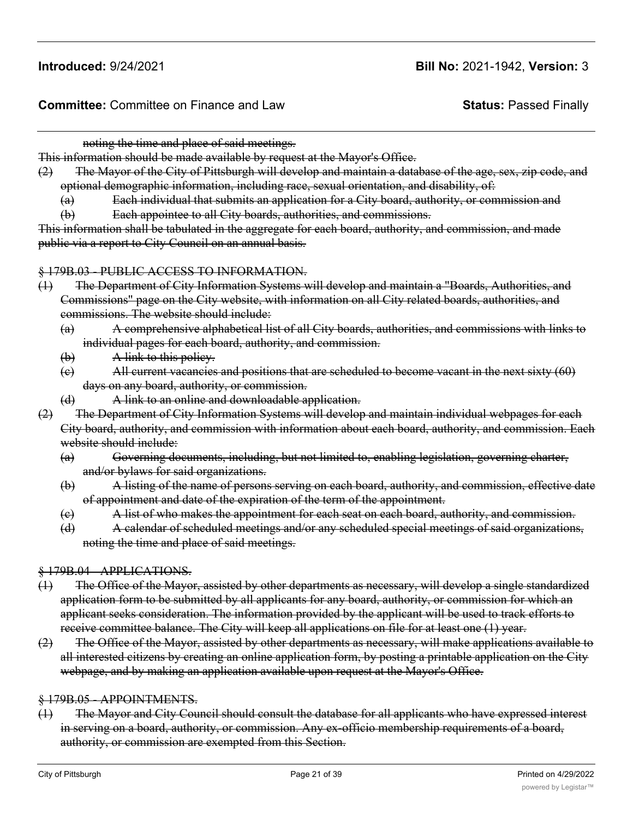noting the time and place of said meetings.

This information should be made available by request at the Mayor's Office.

(2) The Mayor of the City of Pittsburgh will develop and maintain a database of the age, sex, zip code, and optional demographic information, including race, sexual orientation, and disability, of:

(a) Each individual that submits an application for a City board, authority, or commission and

(b) Each appointee to all City boards, authorities, and commissions.

This information shall be tabulated in the aggregate for each board, authority, and commission, and made public via a report to City Council on an annual basis.

#### § 179B.03 - PUBLIC ACCESS TO INFORMATION.

- (1) The Department of City Information Systems will develop and maintain a "Boards, Authorities, and Commissions" page on the City website, with information on all City related boards, authorities, and commissions. The website should include:
	- (a) A comprehensive alphabetical list of all City boards, authorities, and commissions with links to individual pages for each board, authority, and commission.
	- (b) A link to this policy.
	- (c) All current vacancies and positions that are scheduled to become vacant in the next sixty (60) days on any board, authority, or commission.
	- (d) A link to an online and downloadable application.
- (2) The Department of City Information Systems will develop and maintain individual webpages for each City board, authority, and commission with information about each board, authority, and commission. Each website should include:
	- (a) Governing documents, including, but not limited to, enabling legislation, governing charter, and/or bylaws for said organizations.
	- (b) A listing of the name of persons serving on each board, authority, and commission, effective date of appointment and date of the expiration of the term of the appointment.
	- (c) A list of who makes the appointment for each seat on each board, authority, and commission.
	- (d) A calendar of scheduled meetings and/or any scheduled special meetings of said organizations, noting the time and place of said meetings.

#### § 179B.04 - APPLICATIONS.

- (1) The Office of the Mayor, assisted by other departments as necessary, will develop a single standardized application form to be submitted by all applicants for any board, authority, or commission for which an applicant seeks consideration. The information provided by the applicant will be used to track efforts to receive committee balance. The City will keep all applications on file for at least one (1) year.
- (2) The Office of the Mayor, assisted by other departments as necessary, will make applications available to all interested citizens by creating an online application form, by posting a printable application on the City webpage, and by making an application available upon request at the Mayor's Office.

#### § 179B.05 - APPOINTMENTS.

(1) The Mayor and City Council should consult the database for all applicants who have expressed interest in serving on a board, authority, or commission. Any ex-officio membership requirements of a board, authority, or commission are exempted from this Section.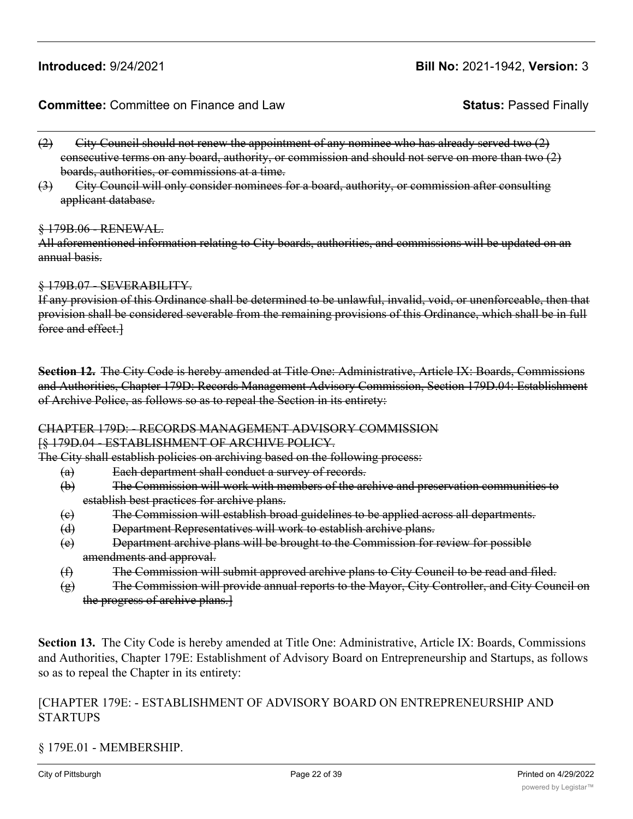#### **Committee:** Committee on Finance and Law **Status:** Passed Finally

- $(2)$  City Council should not renew the appointment of any nominee who has already served two  $(2)$ consecutive terms on any board, authority, or commission and should not serve on more than two (2) boards, authorities, or commissions at a time.
- (3) City Council will only consider nominees for a board, authority, or commission after consulting applicant database.

#### § 179B.06 - RENEWAL.

All aforementioned information relating to City boards, authorities, and commissions will be updated on an annual basis.

#### § 179B.07 - SEVERABILITY.

If any provision of this Ordinance shall be determined to be unlawful, invalid, void, or unenforceable, then that provision shall be considered severable from the remaining provisions of this Ordinance, which shall be in full force and effect.

**Section 12.** The City Code is hereby amended at Title One: Administrative, Article IX: Boards, Commissions and Authorities, Chapter 179D: Records Management Advisory Commission, Section 179D.04: Establishment of Archive Police, as follows so as to repeal the Section in its entirety:

# CHAPTER 179D: - RECORDS MANAGEMENT ADVISORY COMMISSION

#### [§ 179D.04 - ESTABLISHMENT OF ARCHIVE POLICY.

The City shall establish policies on archiving based on the following process:

- (a) Each department shall conduct a survey of records.
	- (b) The Commission will work with members of the archive and preservation communities to establish best practices for archive plans.
	- (c) The Commission will establish broad guidelines to be applied across all departments.
	- (d) Department Representatives will work to establish archive plans.
	- (e) Department archive plans will be brought to the Commission for review for possible amendments and approval.
	- (f) The Commission will submit approved archive plans to City Council to be read and filed.
	- $(g)$  The Commission will provide annual reports to the Mayor, City Controller, and City Council on the progress of archive plans.]

**Section 13.** The City Code is hereby amended at Title One: Administrative, Article IX: Boards, Commissions and Authorities, Chapter 179E: Establishment of Advisory Board on Entrepreneurship and Startups, as follows so as to repeal the Chapter in its entirety:

## [CHAPTER 179E: - ESTABLISHMENT OF ADVISORY BOARD ON ENTREPRENEURSHIP AND STARTUPS

### § 179E.01 - MEMBERSHIP.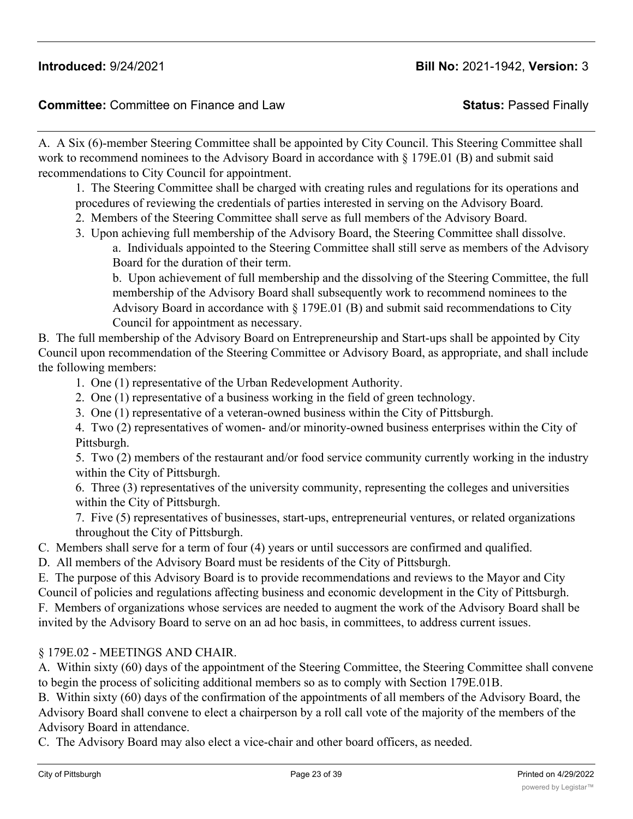A. A Six (6)-member Steering Committee shall be appointed by City Council. This Steering Committee shall work to recommend nominees to the Advisory Board in accordance with § 179E.01 (B) and submit said recommendations to City Council for appointment.

1. The Steering Committee shall be charged with creating rules and regulations for its operations and

procedures of reviewing the credentials of parties interested in serving on the Advisory Board.

- 2. Members of the Steering Committee shall serve as full members of the Advisory Board.
- 3. Upon achieving full membership of the Advisory Board, the Steering Committee shall dissolve. a. Individuals appointed to the Steering Committee shall still serve as members of the Advisory Board for the duration of their term.

b. Upon achievement of full membership and the dissolving of the Steering Committee, the full membership of the Advisory Board shall subsequently work to recommend nominees to the Advisory Board in accordance with  $\S 179E.01$  (B) and submit said recommendations to City Council for appointment as necessary.

B. The full membership of the Advisory Board on Entrepreneurship and Start-ups shall be appointed by City Council upon recommendation of the Steering Committee or Advisory Board, as appropriate, and shall include the following members:

- 1. One (1) representative of the Urban Redevelopment Authority.
- 2. One (1) representative of a business working in the field of green technology.
- 3. One (1) representative of a veteran-owned business within the City of Pittsburgh.

4. Two (2) representatives of women- and/or minority-owned business enterprises within the City of Pittsburgh.

5. Two (2) members of the restaurant and/or food service community currently working in the industry within the City of Pittsburgh.

6. Three (3) representatives of the university community, representing the colleges and universities within the City of Pittsburgh.

7. Five (5) representatives of businesses, start-ups, entrepreneurial ventures, or related organizations throughout the City of Pittsburgh.

C. Members shall serve for a term of four (4) years or until successors are confirmed and qualified.

D. All members of the Advisory Board must be residents of the City of Pittsburgh.

E. The purpose of this Advisory Board is to provide recommendations and reviews to the Mayor and City Council of policies and regulations affecting business and economic development in the City of Pittsburgh.

F. Members of organizations whose services are needed to augment the work of the Advisory Board shall be invited by the Advisory Board to serve on an ad hoc basis, in committees, to address current issues.

## § 179E.02 - MEETINGS AND CHAIR.

A. Within sixty (60) days of the appointment of the Steering Committee, the Steering Committee shall convene to begin the process of soliciting additional members so as to comply with Section 179E.01B.

B. Within sixty (60) days of the confirmation of the appointments of all members of the Advisory Board, the Advisory Board shall convene to elect a chairperson by a roll call vote of the majority of the members of the Advisory Board in attendance.

C. The Advisory Board may also elect a vice-chair and other board officers, as needed.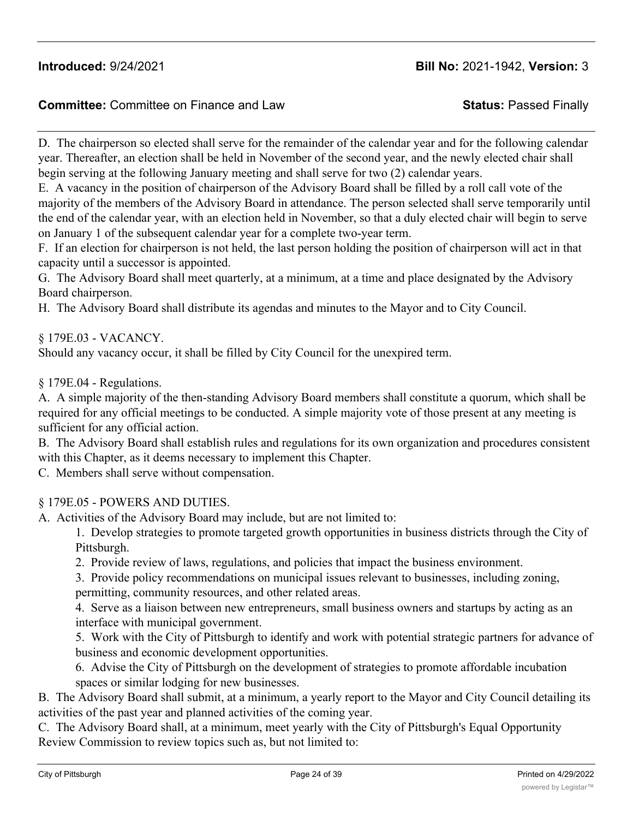## **Committee:** Committee on Finance and Law **Status:** Passed Finally

D. The chairperson so elected shall serve for the remainder of the calendar year and for the following calendar year. Thereafter, an election shall be held in November of the second year, and the newly elected chair shall begin serving at the following January meeting and shall serve for two (2) calendar years.

E. A vacancy in the position of chairperson of the Advisory Board shall be filled by a roll call vote of the majority of the members of the Advisory Board in attendance. The person selected shall serve temporarily until the end of the calendar year, with an election held in November, so that a duly elected chair will begin to serve on January 1 of the subsequent calendar year for a complete two-year term.

F. If an election for chairperson is not held, the last person holding the position of chairperson will act in that capacity until a successor is appointed.

G. The Advisory Board shall meet quarterly, at a minimum, at a time and place designated by the Advisory Board chairperson.

H. The Advisory Board shall distribute its agendas and minutes to the Mayor and to City Council.

§ 179E.03 - VACANCY.

Should any vacancy occur, it shall be filled by City Council for the unexpired term.

§ 179E.04 - Regulations.

A. A simple majority of the then-standing Advisory Board members shall constitute a quorum, which shall be required for any official meetings to be conducted. A simple majority vote of those present at any meeting is sufficient for any official action.

B. The Advisory Board shall establish rules and regulations for its own organization and procedures consistent with this Chapter, as it deems necessary to implement this Chapter.

C. Members shall serve without compensation.

### § 179E.05 - POWERS AND DUTIES.

A. Activities of the Advisory Board may include, but are not limited to:

1. Develop strategies to promote targeted growth opportunities in business districts through the City of Pittsburgh.

2. Provide review of laws, regulations, and policies that impact the business environment.

3. Provide policy recommendations on municipal issues relevant to businesses, including zoning, permitting, community resources, and other related areas.

4. Serve as a liaison between new entrepreneurs, small business owners and startups by acting as an interface with municipal government.

5. Work with the City of Pittsburgh to identify and work with potential strategic partners for advance of business and economic development opportunities.

6. Advise the City of Pittsburgh on the development of strategies to promote affordable incubation spaces or similar lodging for new businesses.

B. The Advisory Board shall submit, at a minimum, a yearly report to the Mayor and City Council detailing its activities of the past year and planned activities of the coming year.

C. The Advisory Board shall, at a minimum, meet yearly with the City of Pittsburgh's Equal Opportunity Review Commission to review topics such as, but not limited to: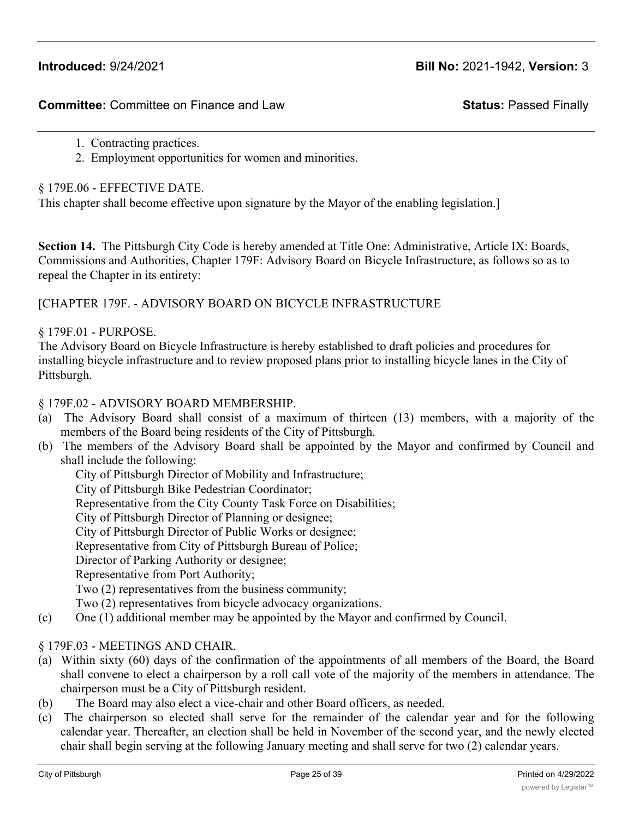- 1. Contracting practices.
- 2. Employment opportunities for women and minorities.

§ 179E.06 - EFFECTIVE DATE.

This chapter shall become effective upon signature by the Mayor of the enabling legislation.]

**Section 14.** The Pittsburgh City Code is hereby amended at Title One: Administrative, Article IX: Boards, Commissions and Authorities, Chapter 179F: Advisory Board on Bicycle Infrastructure, as follows so as to repeal the Chapter in its entirety:

[CHAPTER 179F. - ADVISORY BOARD ON BICYCLE INFRASTRUCTURE

#### § 179F.01 - PURPOSE.

The Advisory Board on Bicycle Infrastructure is hereby established to draft policies and procedures for installing bicycle infrastructure and to review proposed plans prior to installing bicycle lanes in the City of Pittsburgh.

#### § 179F.02 - ADVISORY BOARD MEMBERSHIP.

- (a) The Advisory Board shall consist of a maximum of thirteen (13) members, with a majority of the members of the Board being residents of the City of Pittsburgh.
- (b) The members of the Advisory Board shall be appointed by the Mayor and confirmed by Council and shall include the following:

City of Pittsburgh Director of Mobility and Infrastructure; City of Pittsburgh Bike Pedestrian Coordinator; Representative from the City County Task Force on Disabilities; City of Pittsburgh Director of Planning or designee; City of Pittsburgh Director of Public Works or designee; Representative from City of Pittsburgh Bureau of Police; Director of Parking Authority or designee;

Representative from Port Authority;

Two (2) representatives from the business community;

Two (2) representatives from bicycle advocacy organizations.

(c) One (1) additional member may be appointed by the Mayor and confirmed by Council.

#### § 179F.03 - MEETINGS AND CHAIR.

- (a) Within sixty (60) days of the confirmation of the appointments of all members of the Board, the Board shall convene to elect a chairperson by a roll call vote of the majority of the members in attendance. The chairperson must be a City of Pittsburgh resident.
- (b) The Board may also elect a vice-chair and other Board officers, as needed.
- (c) The chairperson so elected shall serve for the remainder of the calendar year and for the following calendar year. Thereafter, an election shall be held in November of the second year, and the newly elected chair shall begin serving at the following January meeting and shall serve for two (2) calendar years.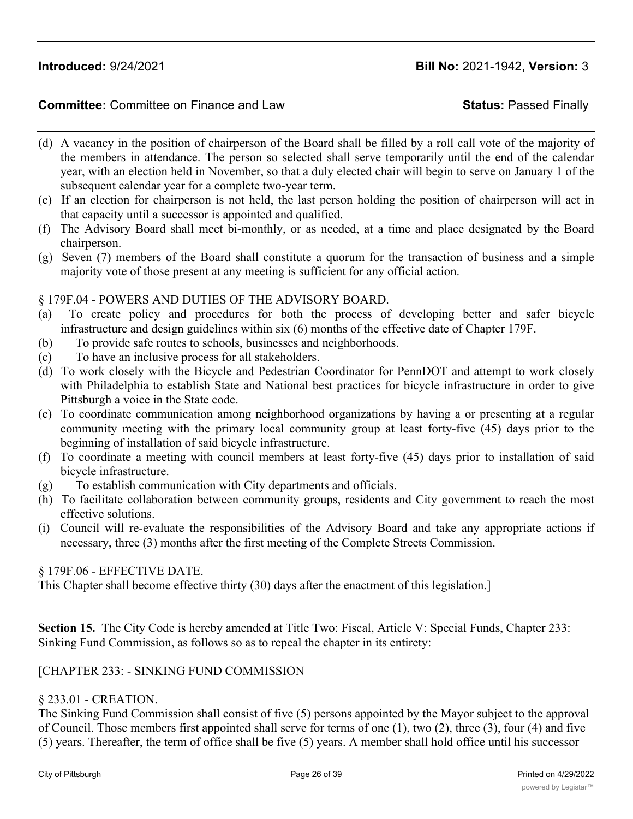#### **Committee:** Committee on Finance and Law **Status:** Passed Finally

- (d) A vacancy in the position of chairperson of the Board shall be filled by a roll call vote of the majority of the members in attendance. The person so selected shall serve temporarily until the end of the calendar year, with an election held in November, so that a duly elected chair will begin to serve on January 1 of the subsequent calendar year for a complete two-year term.
- (e) If an election for chairperson is not held, the last person holding the position of chairperson will act in that capacity until a successor is appointed and qualified.
- (f) The Advisory Board shall meet bi-monthly, or as needed, at a time and place designated by the Board chairperson.
- (g) Seven (7) members of the Board shall constitute a quorum for the transaction of business and a simple majority vote of those present at any meeting is sufficient for any official action.

#### § 179F.04 - POWERS AND DUTIES OF THE ADVISORY BOARD.

- (a) To create policy and procedures for both the process of developing better and safer bicycle infrastructure and design guidelines within six (6) months of the effective date of Chapter 179F.
- (b) To provide safe routes to schools, businesses and neighborhoods.
- (c) To have an inclusive process for all stakeholders.
- (d) To work closely with the Bicycle and Pedestrian Coordinator for PennDOT and attempt to work closely with Philadelphia to establish State and National best practices for bicycle infrastructure in order to give Pittsburgh a voice in the State code.
- (e) To coordinate communication among neighborhood organizations by having a or presenting at a regular community meeting with the primary local community group at least forty-five (45) days prior to the beginning of installation of said bicycle infrastructure.
- (f) To coordinate a meeting with council members at least forty-five (45) days prior to installation of said bicycle infrastructure.
- (g) To establish communication with City departments and officials.
- (h) To facilitate collaboration between community groups, residents and City government to reach the most effective solutions.
- (i) Council will re-evaluate the responsibilities of the Advisory Board and take any appropriate actions if necessary, three (3) months after the first meeting of the Complete Streets Commission.

#### § 179F.06 - EFFECTIVE DATE.

This Chapter shall become effective thirty (30) days after the enactment of this legislation.]

**Section 15.** The City Code is hereby amended at Title Two: Fiscal, Article V: Special Funds, Chapter 233: Sinking Fund Commission, as follows so as to repeal the chapter in its entirety:

#### [CHAPTER 233: - SINKING FUND COMMISSION

#### § 233.01 - CREATION.

The Sinking Fund Commission shall consist of five (5) persons appointed by the Mayor subject to the approval of Council. Those members first appointed shall serve for terms of one (1), two (2), three (3), four (4) and five (5) years. Thereafter, the term of office shall be five (5) years. A member shall hold office until his successor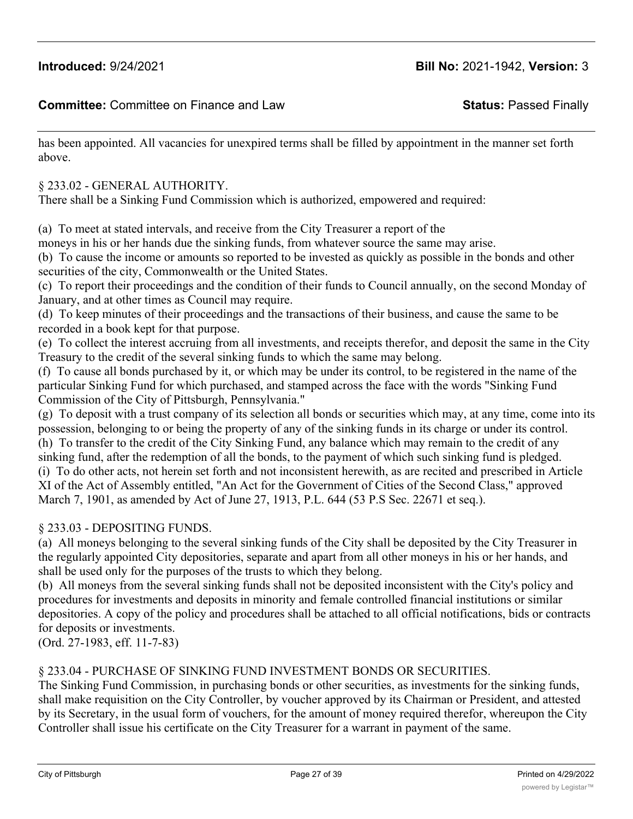has been appointed. All vacancies for unexpired terms shall be filled by appointment in the manner set forth above.

§ 233.02 - GENERAL AUTHORITY.

There shall be a Sinking Fund Commission which is authorized, empowered and required:

(a) To meet at stated intervals, and receive from the City Treasurer a report of the

moneys in his or her hands due the sinking funds, from whatever source the same may arise.

(b) To cause the income or amounts so reported to be invested as quickly as possible in the bonds and other securities of the city, Commonwealth or the United States.

(c) To report their proceedings and the condition of their funds to Council annually, on the second Monday of January, and at other times as Council may require.

(d) To keep minutes of their proceedings and the transactions of their business, and cause the same to be recorded in a book kept for that purpose.

(e) To collect the interest accruing from all investments, and receipts therefor, and deposit the same in the City Treasury to the credit of the several sinking funds to which the same may belong.

(f) To cause all bonds purchased by it, or which may be under its control, to be registered in the name of the particular Sinking Fund for which purchased, and stamped across the face with the words "Sinking Fund Commission of the City of Pittsburgh, Pennsylvania."

(g) To deposit with a trust company of its selection all bonds or securities which may, at any time, come into its possession, belonging to or being the property of any of the sinking funds in its charge or under its control. (h) To transfer to the credit of the City Sinking Fund, any balance which may remain to the credit of any sinking fund, after the redemption of all the bonds, to the payment of which such sinking fund is pledged. (i) To do other acts, not herein set forth and not inconsistent herewith, as are recited and prescribed in Article XI of the Act of Assembly entitled, "An Act for the Government of Cities of the Second Class," approved March 7, 1901, as amended by Act of June 27, 1913, P.L. 644 (53 P.S Sec. 22671 et seq.).

#### § 233.03 - DEPOSITING FUNDS.

(a) All moneys belonging to the several sinking funds of the City shall be deposited by the City Treasurer in the regularly appointed City depositories, separate and apart from all other moneys in his or her hands, and shall be used only for the purposes of the trusts to which they belong.

(b) All moneys from the several sinking funds shall not be deposited inconsistent with the City's policy and procedures for investments and deposits in minority and female controlled financial institutions or similar depositories. A copy of the policy and procedures shall be attached to all official notifications, bids or contracts for deposits or investments.

(Ord. 27-1983, eff. 11-7-83)

#### § 233.04 - PURCHASE OF SINKING FUND INVESTMENT BONDS OR SECURITIES.

The Sinking Fund Commission, in purchasing bonds or other securities, as investments for the sinking funds, shall make requisition on the City Controller, by voucher approved by its Chairman or President, and attested by its Secretary, in the usual form of vouchers, for the amount of money required therefor, whereupon the City Controller shall issue his certificate on the City Treasurer for a warrant in payment of the same.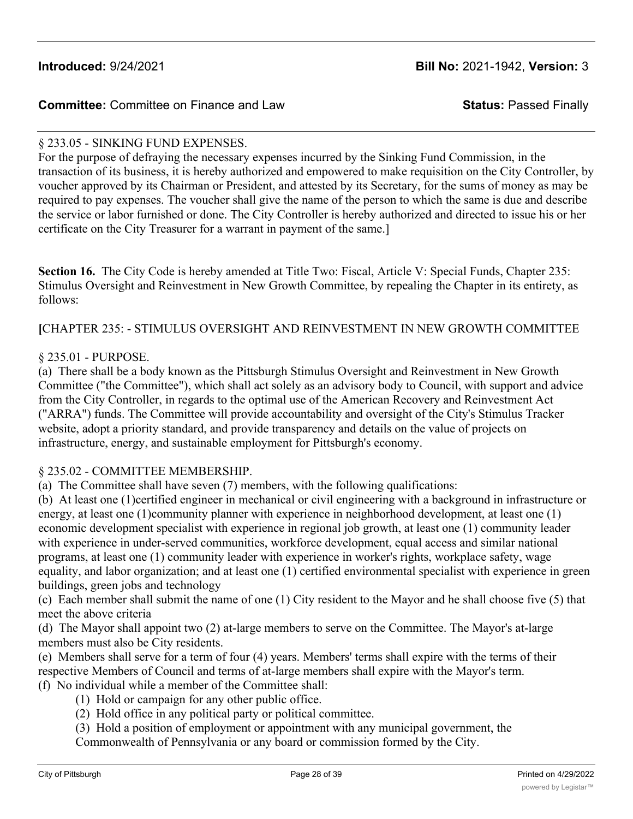### § 233.05 - SINKING FUND EXPENSES.

For the purpose of defraying the necessary expenses incurred by the Sinking Fund Commission, in the transaction of its business, it is hereby authorized and empowered to make requisition on the City Controller, by voucher approved by its Chairman or President, and attested by its Secretary, for the sums of money as may be required to pay expenses. The voucher shall give the name of the person to which the same is due and describe the service or labor furnished or done. The City Controller is hereby authorized and directed to issue his or her certificate on the City Treasurer for a warrant in payment of the same.]

**Section 16.** The City Code is hereby amended at Title Two: Fiscal, Article V: Special Funds, Chapter 235: Stimulus Oversight and Reinvestment in New Growth Committee, by repealing the Chapter in its entirety, as follows:

**[**CHAPTER 235: - STIMULUS OVERSIGHT AND REINVESTMENT IN NEW GROWTH COMMITTEE

#### § 235.01 - PURPOSE.

(a) There shall be a body known as the Pittsburgh Stimulus Oversight and Reinvestment in New Growth Committee ("the Committee"), which shall act solely as an advisory body to Council, with support and advice from the City Controller, in regards to the optimal use of the American Recovery and Reinvestment Act ("ARRA") funds. The Committee will provide accountability and oversight of the City's Stimulus Tracker website, adopt a priority standard, and provide transparency and details on the value of projects on infrastructure, energy, and sustainable employment for Pittsburgh's economy.

#### § 235.02 - COMMITTEE MEMBERSHIP.

(a) The Committee shall have seven (7) members, with the following qualifications:

(b) At least one (1)certified engineer in mechanical or civil engineering with a background in infrastructure or energy, at least one (1)community planner with experience in neighborhood development, at least one (1) economic development specialist with experience in regional job growth, at least one (1) community leader with experience in under-served communities, workforce development, equal access and similar national programs, at least one (1) community leader with experience in worker's rights, workplace safety, wage equality, and labor organization; and at least one (1) certified environmental specialist with experience in green buildings, green jobs and technology

(c) Each member shall submit the name of one (1) City resident to the Mayor and he shall choose five (5) that meet the above criteria

(d) The Mayor shall appoint two (2) at-large members to serve on the Committee. The Mayor's at-large members must also be City residents.

(e) Members shall serve for a term of four (4) years. Members' terms shall expire with the terms of their respective Members of Council and terms of at-large members shall expire with the Mayor's term. (f) No individual while a member of the Committee shall:

(1) Hold or campaign for any other public office.

(2) Hold office in any political party or political committee.

(3) Hold a position of employment or appointment with any municipal government, the Commonwealth of Pennsylvania or any board or commission formed by the City.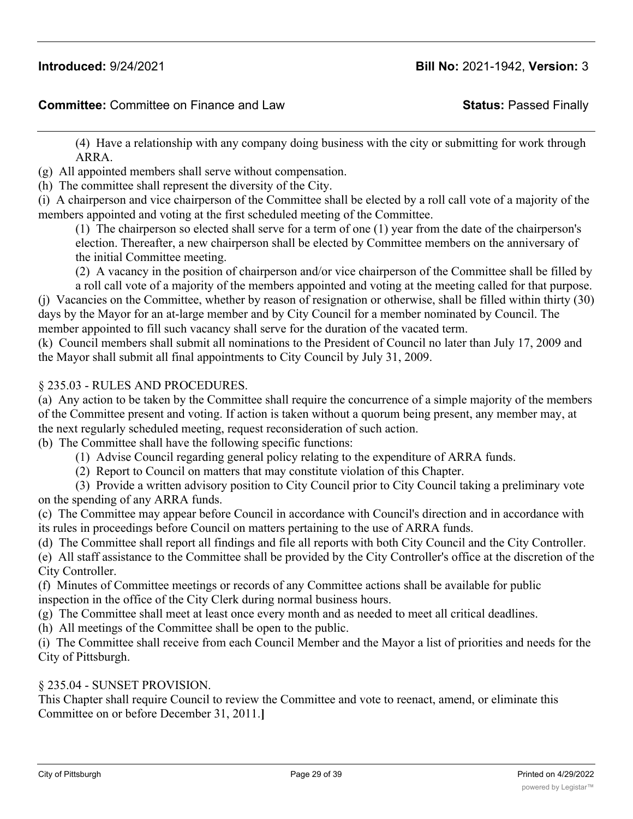(4) Have a relationship with any company doing business with the city or submitting for work through ARRA.

(g) All appointed members shall serve without compensation.

(h) The committee shall represent the diversity of the City.

(i) A chairperson and vice chairperson of the Committee shall be elected by a roll call vote of a majority of the members appointed and voting at the first scheduled meeting of the Committee.

(1) The chairperson so elected shall serve for a term of one (1) year from the date of the chairperson's election. Thereafter, a new chairperson shall be elected by Committee members on the anniversary of the initial Committee meeting.

(2) A vacancy in the position of chairperson and/or vice chairperson of the Committee shall be filled by

a roll call vote of a majority of the members appointed and voting at the meeting called for that purpose. (j) Vacancies on the Committee, whether by reason of resignation or otherwise, shall be filled within thirty (30) days by the Mayor for an at-large member and by City Council for a member nominated by Council. The member appointed to fill such vacancy shall serve for the duration of the vacated term.

(k) Council members shall submit all nominations to the President of Council no later than July 17, 2009 and the Mayor shall submit all final appointments to City Council by July 31, 2009.

#### § 235.03 - RULES AND PROCEDURES.

(a) Any action to be taken by the Committee shall require the concurrence of a simple majority of the members of the Committee present and voting. If action is taken without a quorum being present, any member may, at the next regularly scheduled meeting, request reconsideration of such action.

(b) The Committee shall have the following specific functions:

- (1) Advise Council regarding general policy relating to the expenditure of ARRA funds.
- (2) Report to Council on matters that may constitute violation of this Chapter.

(3) Provide a written advisory position to City Council prior to City Council taking a preliminary vote on the spending of any ARRA funds.

(c) The Committee may appear before Council in accordance with Council's direction and in accordance with its rules in proceedings before Council on matters pertaining to the use of ARRA funds.

(d) The Committee shall report all findings and file all reports with both City Council and the City Controller.

(e) All staff assistance to the Committee shall be provided by the City Controller's office at the discretion of the City Controller.

(f) Minutes of Committee meetings or records of any Committee actions shall be available for public inspection in the office of the City Clerk during normal business hours.

(g) The Committee shall meet at least once every month and as needed to meet all critical deadlines.

(h) All meetings of the Committee shall be open to the public.

(i) The Committee shall receive from each Council Member and the Mayor a list of priorities and needs for the City of Pittsburgh.

#### § 235.04 - SUNSET PROVISION.

This Chapter shall require Council to review the Committee and vote to reenact, amend, or eliminate this Committee on or before December 31, 2011.**]**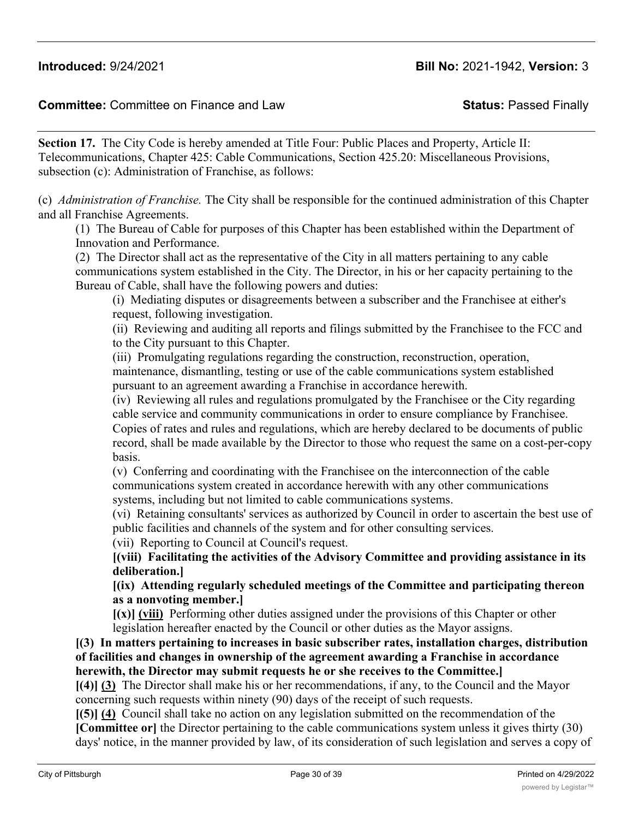### **Committee:** Committee on Finance and Law **Status:** Passed Finally

**Section 17.** The City Code is hereby amended at Title Four: Public Places and Property, Article II: Telecommunications, Chapter 425: Cable Communications, Section 425.20: Miscellaneous Provisions, subsection (c): Administration of Franchise, as follows:

(c) *Administration of Franchise.* The City shall be responsible for the continued administration of this Chapter and all Franchise Agreements.

(1) The Bureau of Cable for purposes of this Chapter has been established within the Department of Innovation and Performance.

(2) The Director shall act as the representative of the City in all matters pertaining to any cable communications system established in the City. The Director, in his or her capacity pertaining to the Bureau of Cable, shall have the following powers and duties:

(i) Mediating disputes or disagreements between a subscriber and the Franchisee at either's request, following investigation.

(ii) Reviewing and auditing all reports and filings submitted by the Franchisee to the FCC and to the City pursuant to this Chapter.

(iii) Promulgating regulations regarding the construction, reconstruction, operation, maintenance, dismantling, testing or use of the cable communications system established pursuant to an agreement awarding a Franchise in accordance herewith.

(iv) Reviewing all rules and regulations promulgated by the Franchisee or the City regarding cable service and community communications in order to ensure compliance by Franchisee. Copies of rates and rules and regulations, which are hereby declared to be documents of public record, shall be made available by the Director to those who request the same on a cost-per-copy basis.

(v) Conferring and coordinating with the Franchisee on the interconnection of the cable communications system created in accordance herewith with any other communications systems, including but not limited to cable communications systems.

(vi) Retaining consultants' services as authorized by Council in order to ascertain the best use of public facilities and channels of the system and for other consulting services.

(vii) Reporting to Council at Council's request.

**[(viii) Facilitating the activities of the Advisory Committee and providing assistance in its deliberation.]**

**[(ix) Attending regularly scheduled meetings of the Committee and participating thereon as a nonvoting member.]**

**[(x)] (viii)** Performing other duties assigned under the provisions of this Chapter or other legislation hereafter enacted by the Council or other duties as the Mayor assigns.

**[(3) In matters pertaining to increases in basic subscriber rates, installation charges, distribution of facilities and changes in ownership of the agreement awarding a Franchise in accordance herewith, the Director may submit requests he or she receives to the Committee.]**

**[(4)] (3)** The Director shall make his or her recommendations, if any, to the Council and the Mayor concerning such requests within ninety (90) days of the receipt of such requests.

**[(5)] (4)** Council shall take no action on any legislation submitted on the recommendation of the **[Committee or]** the Director pertaining to the cable communications system unless it gives thirty (30) days' notice, in the manner provided by law, of its consideration of such legislation and serves a copy of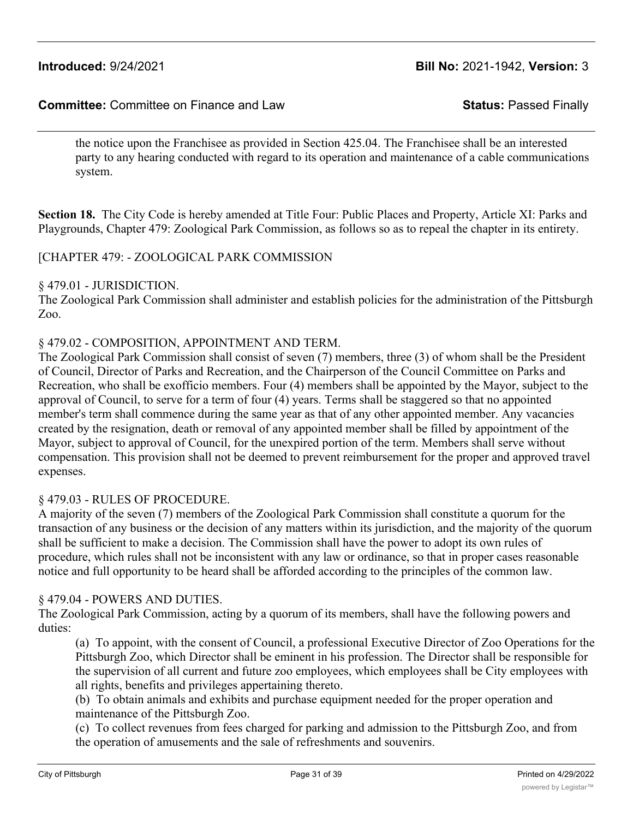the notice upon the Franchisee as provided in Section 425.04. The Franchisee shall be an interested party to any hearing conducted with regard to its operation and maintenance of a cable communications system.

**Section 18.** The City Code is hereby amended at Title Four: Public Places and Property, Article XI: Parks and Playgrounds, Chapter 479: Zoological Park Commission, as follows so as to repeal the chapter in its entirety.

#### [CHAPTER 479: - ZOOLOGICAL PARK COMMISSION

#### § 479.01 - JURISDICTION.

The Zoological Park Commission shall administer and establish policies for the administration of the Pittsburgh Zoo.

#### § 479.02 - COMPOSITION, APPOINTMENT AND TERM.

The Zoological Park Commission shall consist of seven (7) members, three (3) of whom shall be the President of Council, Director of Parks and Recreation, and the Chairperson of the Council Committee on Parks and Recreation, who shall be exofficio members. Four (4) members shall be appointed by the Mayor, subject to the approval of Council, to serve for a term of four (4) years. Terms shall be staggered so that no appointed member's term shall commence during the same year as that of any other appointed member. Any vacancies created by the resignation, death or removal of any appointed member shall be filled by appointment of the Mayor, subject to approval of Council, for the unexpired portion of the term. Members shall serve without compensation. This provision shall not be deemed to prevent reimbursement for the proper and approved travel expenses.

#### § 479.03 - RULES OF PROCEDURE.

A majority of the seven (7) members of the Zoological Park Commission shall constitute a quorum for the transaction of any business or the decision of any matters within its jurisdiction, and the majority of the quorum shall be sufficient to make a decision. The Commission shall have the power to adopt its own rules of procedure, which rules shall not be inconsistent with any law or ordinance, so that in proper cases reasonable notice and full opportunity to be heard shall be afforded according to the principles of the common law.

#### § 479.04 - POWERS AND DUTIES.

The Zoological Park Commission, acting by a quorum of its members, shall have the following powers and duties:

(a) To appoint, with the consent of Council, a professional Executive Director of Zoo Operations for the Pittsburgh Zoo, which Director shall be eminent in his profession. The Director shall be responsible for the supervision of all current and future zoo employees, which employees shall be City employees with all rights, benefits and privileges appertaining thereto.

(b) To obtain animals and exhibits and purchase equipment needed for the proper operation and maintenance of the Pittsburgh Zoo.

(c) To collect revenues from fees charged for parking and admission to the Pittsburgh Zoo, and from the operation of amusements and the sale of refreshments and souvenirs.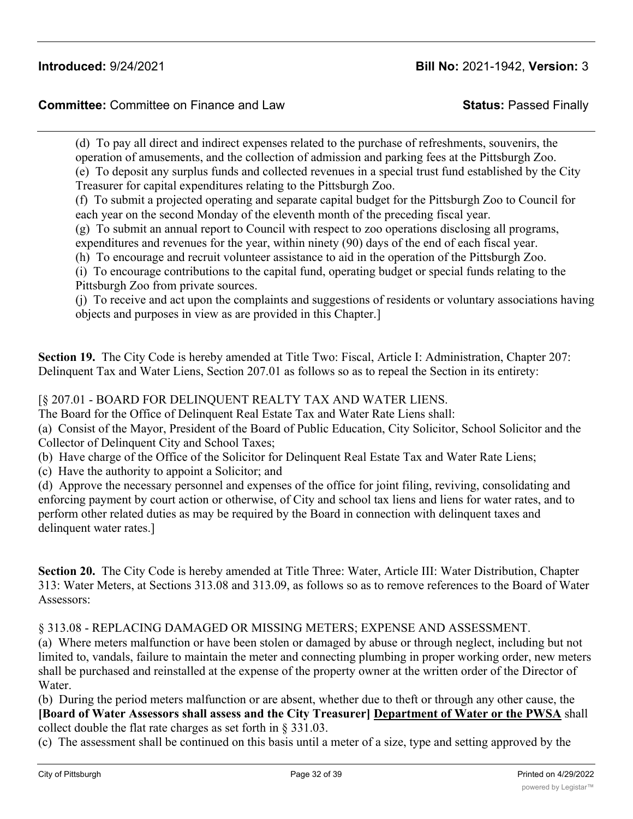**Committee:** Committee on Finance and Law **Status:** Passed Finally

(d) To pay all direct and indirect expenses related to the purchase of refreshments, souvenirs, the operation of amusements, and the collection of admission and parking fees at the Pittsburgh Zoo. (e) To deposit any surplus funds and collected revenues in a special trust fund established by the City

Treasurer for capital expenditures relating to the Pittsburgh Zoo.

(f) To submit a projected operating and separate capital budget for the Pittsburgh Zoo to Council for each year on the second Monday of the eleventh month of the preceding fiscal year.

(g) To submit an annual report to Council with respect to zoo operations disclosing all programs, expenditures and revenues for the year, within ninety (90) days of the end of each fiscal year.

(h) To encourage and recruit volunteer assistance to aid in the operation of the Pittsburgh Zoo.

(i) To encourage contributions to the capital fund, operating budget or special funds relating to the Pittsburgh Zoo from private sources.

(j) To receive and act upon the complaints and suggestions of residents or voluntary associations having objects and purposes in view as are provided in this Chapter.]

**Section 19.** The City Code is hereby amended at Title Two: Fiscal, Article I: Administration, Chapter 207: Delinquent Tax and Water Liens, Section 207.01 as follows so as to repeal the Section in its entirety:

[§ 207.01 - BOARD FOR DELINQUENT REALTY TAX AND WATER LIENS.

The Board for the Office of Delinquent Real Estate Tax and Water Rate Liens shall:

(a) Consist of the Mayor, President of the Board of Public Education, City Solicitor, School Solicitor and the Collector of Delinquent City and School Taxes;

(b) Have charge of the Office of the Solicitor for Delinquent Real Estate Tax and Water Rate Liens;

(c) Have the authority to appoint a Solicitor; and

(d) Approve the necessary personnel and expenses of the office for joint filing, reviving, consolidating and enforcing payment by court action or otherwise, of City and school tax liens and liens for water rates, and to perform other related duties as may be required by the Board in connection with delinquent taxes and delinquent water rates.]

**Section 20.** The City Code is hereby amended at Title Three: Water, Article III: Water Distribution, Chapter 313: Water Meters, at Sections 313.08 and 313.09, as follows so as to remove references to the Board of Water Assessors:

§ 313.08 - REPLACING DAMAGED OR MISSING METERS; EXPENSE AND ASSESSMENT.

(a) Where meters malfunction or have been stolen or damaged by abuse or through neglect, including but not limited to, vandals, failure to maintain the meter and connecting plumbing in proper working order, new meters shall be purchased and reinstalled at the expense of the property owner at the written order of the Director of Water.

(b) During the period meters malfunction or are absent, whether due to theft or through any other cause, the **[Board of Water Assessors shall assess and the City Treasurer] Department of Water or the PWSA** shall collect double the flat rate charges as set forth in § 331.03.

(c) The assessment shall be continued on this basis until a meter of a size, type and setting approved by the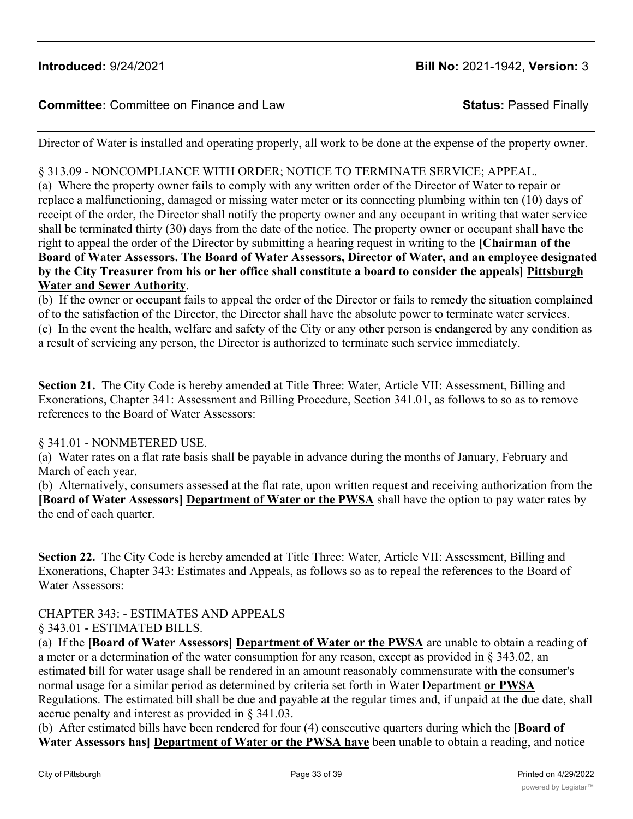### **Committee:** Committee on Finance and Law **Status:** Passed Finally

Director of Water is installed and operating properly, all work to be done at the expense of the property owner.

### § 313.09 - NONCOMPLIANCE WITH ORDER; NOTICE TO TERMINATE SERVICE; APPEAL.

(a) Where the property owner fails to comply with any written order of the Director of Water to repair or replace a malfunctioning, damaged or missing water meter or its connecting plumbing within ten (10) days of receipt of the order, the Director shall notify the property owner and any occupant in writing that water service shall be terminated thirty (30) days from the date of the notice. The property owner or occupant shall have the right to appeal the order of the Director by submitting a hearing request in writing to the **[Chairman of the Board of Water Assessors. The Board of Water Assessors, Director of Water, and an employee designated by the City Treasurer from his or her office shall constitute a board to consider the appeals] Pittsburgh Water and Sewer Authority**.

(b) If the owner or occupant fails to appeal the order of the Director or fails to remedy the situation complained of to the satisfaction of the Director, the Director shall have the absolute power to terminate water services. (c) In the event the health, welfare and safety of the City or any other person is endangered by any condition as a result of servicing any person, the Director is authorized to terminate such service immediately.

**Section 21.** The City Code is hereby amended at Title Three: Water, Article VII: Assessment, Billing and Exonerations, Chapter 341: Assessment and Billing Procedure, Section 341.01, as follows to so as to remove references to the Board of Water Assessors:

#### § 341.01 - NONMETERED USE.

(a) Water rates on a flat rate basis shall be payable in advance during the months of January, February and March of each year.

(b) Alternatively, consumers assessed at the flat rate, upon written request and receiving authorization from the **[Board of Water Assessors] Department of Water or the PWSA** shall have the option to pay water rates by the end of each quarter.

**Section 22.** The City Code is hereby amended at Title Three: Water, Article VII: Assessment, Billing and Exonerations, Chapter 343: Estimates and Appeals, as follows so as to repeal the references to the Board of Water Assessors:

## CHAPTER 343: - ESTIMATES AND APPEALS

#### § 343.01 - ESTIMATED BILLS.

(a) If the **[Board of Water Assessors] Department of Water or the PWSA** are unable to obtain a reading of a meter or a determination of the water consumption for any reason, except as provided in § 343.02, an estimated bill for water usage shall be rendered in an amount reasonably commensurate with the consumer's normal usage for a similar period as determined by criteria set forth in Water Department **or PWSA** Regulations. The estimated bill shall be due and payable at the regular times and, if unpaid at the due date, shall accrue penalty and interest as provided in § 341.03.

(b) After estimated bills have been rendered for four (4) consecutive quarters during which the **[Board of Water Assessors has] Department of Water or the PWSA have** been unable to obtain a reading, and notice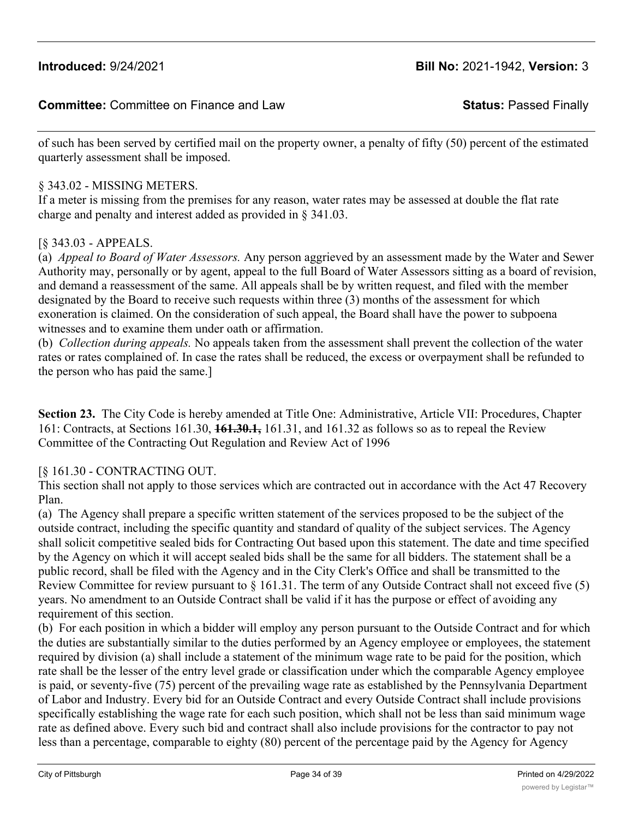of such has been served by certified mail on the property owner, a penalty of fifty (50) percent of the estimated quarterly assessment shall be imposed.

### § 343.02 - MISSING METERS.

If a meter is missing from the premises for any reason, water rates may be assessed at double the flat rate charge and penalty and interest added as provided in § 341.03.

### [§ 343.03 - APPEALS.

(a) *Appeal to Board of Water Assessors.* Any person aggrieved by an assessment made by the Water and Sewer Authority may, personally or by agent, appeal to the full Board of Water Assessors sitting as a board of revision, and demand a reassessment of the same. All appeals shall be by written request, and filed with the member designated by the Board to receive such requests within three (3) months of the assessment for which exoneration is claimed. On the consideration of such appeal, the Board shall have the power to subpoena witnesses and to examine them under oath or affirmation.

(b) *Collection during appeals.* No appeals taken from the assessment shall prevent the collection of the water rates or rates complained of. In case the rates shall be reduced, the excess or overpayment shall be refunded to the person who has paid the same.]

**Section 23.** The City Code is hereby amended at Title One: Administrative, Article VII: Procedures, Chapter 161: Contracts, at Sections 161.30, **161.30.1,** 161.31, and 161.32 as follows so as to repeal the Review Committee of the Contracting Out Regulation and Review Act of 1996

#### [§ 161.30 - CONTRACTING OUT.

This section shall not apply to those services which are contracted out in accordance with the Act 47 Recovery Plan.

(a) The Agency shall prepare a specific written statement of the services proposed to be the subject of the outside contract, including the specific quantity and standard of quality of the subject services. The Agency shall solicit competitive sealed bids for Contracting Out based upon this statement. The date and time specified by the Agency on which it will accept sealed bids shall be the same for all bidders. The statement shall be a public record, shall be filed with the Agency and in the City Clerk's Office and shall be transmitted to the Review Committee for review pursuant to § 161.31. The term of any Outside Contract shall not exceed five (5) years. No amendment to an Outside Contract shall be valid if it has the purpose or effect of avoiding any requirement of this section.

(b) For each position in which a bidder will employ any person pursuant to the Outside Contract and for which the duties are substantially similar to the duties performed by an Agency employee or employees, the statement required by division (a) shall include a statement of the minimum wage rate to be paid for the position, which rate shall be the lesser of the entry level grade or classification under which the comparable Agency employee is paid, or seventy-five (75) percent of the prevailing wage rate as established by the Pennsylvania Department of Labor and Industry. Every bid for an Outside Contract and every Outside Contract shall include provisions specifically establishing the wage rate for each such position, which shall not be less than said minimum wage rate as defined above. Every such bid and contract shall also include provisions for the contractor to pay not less than a percentage, comparable to eighty (80) percent of the percentage paid by the Agency for Agency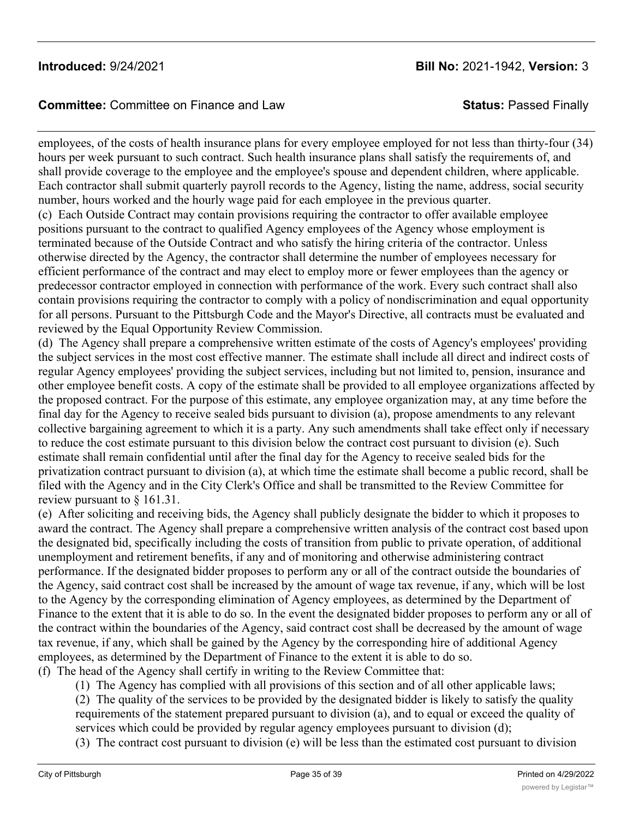## **Committee:** Committee on Finance and Law **Status:** Passed Finally

employees, of the costs of health insurance plans for every employee employed for not less than thirty-four (34) hours per week pursuant to such contract. Such health insurance plans shall satisfy the requirements of, and shall provide coverage to the employee and the employee's spouse and dependent children, where applicable. Each contractor shall submit quarterly payroll records to the Agency, listing the name, address, social security number, hours worked and the hourly wage paid for each employee in the previous quarter.

(c) Each Outside Contract may contain provisions requiring the contractor to offer available employee positions pursuant to the contract to qualified Agency employees of the Agency whose employment is terminated because of the Outside Contract and who satisfy the hiring criteria of the contractor. Unless otherwise directed by the Agency, the contractor shall determine the number of employees necessary for efficient performance of the contract and may elect to employ more or fewer employees than the agency or predecessor contractor employed in connection with performance of the work. Every such contract shall also contain provisions requiring the contractor to comply with a policy of nondiscrimination and equal opportunity for all persons. Pursuant to the Pittsburgh Code and the Mayor's Directive, all contracts must be evaluated and reviewed by the Equal Opportunity Review Commission.

(d) The Agency shall prepare a comprehensive written estimate of the costs of Agency's employees' providing the subject services in the most cost effective manner. The estimate shall include all direct and indirect costs of regular Agency employees' providing the subject services, including but not limited to, pension, insurance and other employee benefit costs. A copy of the estimate shall be provided to all employee organizations affected by the proposed contract. For the purpose of this estimate, any employee organization may, at any time before the final day for the Agency to receive sealed bids pursuant to division (a), propose amendments to any relevant collective bargaining agreement to which it is a party. Any such amendments shall take effect only if necessary to reduce the cost estimate pursuant to this division below the contract cost pursuant to division (e). Such estimate shall remain confidential until after the final day for the Agency to receive sealed bids for the privatization contract pursuant to division (a), at which time the estimate shall become a public record, shall be filed with the Agency and in the City Clerk's Office and shall be transmitted to the Review Committee for review pursuant to  $\S$  161.31.

(e) After soliciting and receiving bids, the Agency shall publicly designate the bidder to which it proposes to award the contract. The Agency shall prepare a comprehensive written analysis of the contract cost based upon the designated bid, specifically including the costs of transition from public to private operation, of additional unemployment and retirement benefits, if any and of monitoring and otherwise administering contract performance. If the designated bidder proposes to perform any or all of the contract outside the boundaries of the Agency, said contract cost shall be increased by the amount of wage tax revenue, if any, which will be lost to the Agency by the corresponding elimination of Agency employees, as determined by the Department of Finance to the extent that it is able to do so. In the event the designated bidder proposes to perform any or all of the contract within the boundaries of the Agency, said contract cost shall be decreased by the amount of wage tax revenue, if any, which shall be gained by the Agency by the corresponding hire of additional Agency employees, as determined by the Department of Finance to the extent it is able to do so.

(f) The head of the Agency shall certify in writing to the Review Committee that:

(1) The Agency has complied with all provisions of this section and of all other applicable laws;

(2) The quality of the services to be provided by the designated bidder is likely to satisfy the quality requirements of the statement prepared pursuant to division (a), and to equal or exceed the quality of services which could be provided by regular agency employees pursuant to division (d);

(3) The contract cost pursuant to division (e) will be less than the estimated cost pursuant to division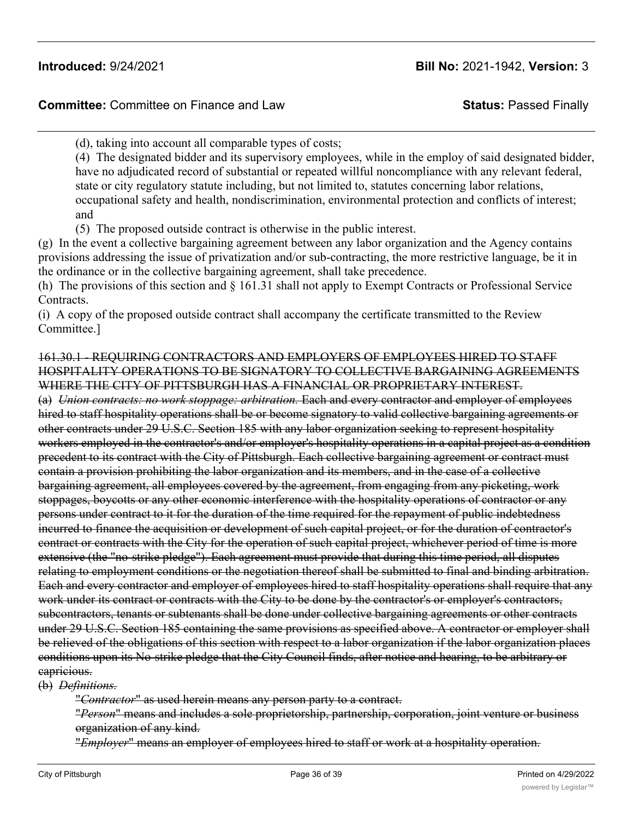(d), taking into account all comparable types of costs;

(4) The designated bidder and its supervisory employees, while in the employ of said designated bidder, have no adjudicated record of substantial or repeated willful noncompliance with any relevant federal, state or city regulatory statute including, but not limited to, statutes concerning labor relations, occupational safety and health, nondiscrimination, environmental protection and conflicts of interest; and

(5) The proposed outside contract is otherwise in the public interest.

(g) In the event a collective bargaining agreement between any labor organization and the Agency contains provisions addressing the issue of privatization and/or sub-contracting, the more restrictive language, be it in the ordinance or in the collective bargaining agreement, shall take precedence.

(h) The provisions of this section and § 161.31 shall not apply to Exempt Contracts or Professional Service Contracts.

(i) A copy of the proposed outside contract shall accompany the certificate transmitted to the Review Committee.]

#### 161.30.1 - REQUIRING CONTRACTORS AND EMPLOYERS OF EMPLOYEES HIRED TO STAFF HOSPITALITY OPERATIONS TO BE SIGNATORY TO COLLECTIVE BARGAINING AGREEMENTS WHERE THE CITY OF PITTSBURGH HAS A FINANCIAL OR PROPRIETARY INTEREST.

(a) *Union contracts: no work stoppage: arbitration.* Each and every contractor and employer of employees hired to staff hospitality operations shall be or become signatory to valid collective bargaining agreements or other contracts under 29 U.S.C. Section 185 with any labor organization seeking to represent hospitality workers employed in the contractor's and/or employer's hospitality operations in a capital project as a condition precedent to its contract with the City of Pittsburgh. Each collective bargaining agreement or contract must contain a provision prohibiting the labor organization and its members, and in the case of a collective bargaining agreement, all employees covered by the agreement, from engaging from any picketing, work stoppages, boycotts or any other economic interference with the hospitality operations of contractor or any persons under contract to it for the duration of the time required for the repayment of public indebtedness incurred to finance the acquisition or development of such capital project, or for the duration of contractor's contract or contracts with the City for the operation of such capital project, whichever period of time is more extensive (the "no-strike pledge"). Each agreement must provide that during this time period, all disputes relating to employment conditions or the negotiation thereof shall be submitted to final and binding arbitration. Each and every contractor and employer of employees hired to staff hospitality operations shall require that any work under its contract or contracts with the City to be done by the contractor's or employer's contractors, subcontractors, tenants or subtenants shall be done under collective bargaining agreements or other contracts under 29 U.S.C. Section 185 containing the same provisions as specified above. A contractor or employer shall be relieved of the obligations of this section with respect to a labor organization if the labor organization places conditions upon its No-strike pledge that the City Council finds, after notice and hearing, to be arbitrary or capricious.

(b) *Definitions.*

"*Contractor*" as used herein means any person party to a contract.

"*Person*" means and includes a sole proprietorship, partnership, corporation, joint venture or business organization of any kind.

"*Employer*" means an employer of employees hired to staff or work at a hospitality operation.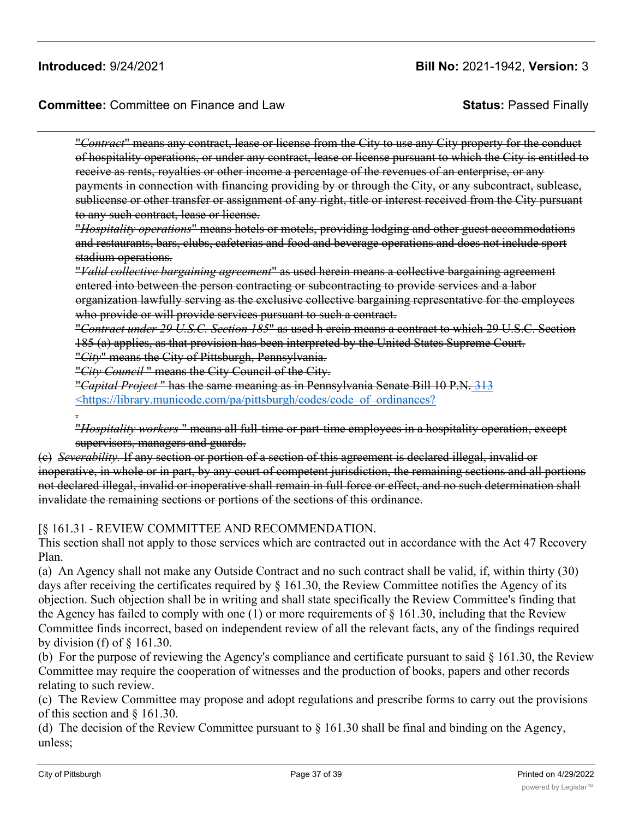**Committee:** Committee on Finance and Law **Status:** Passed Finally

"*Contract*" means any contract, lease or license from the City to use any City property for the conduct of hospitality operations, or under any contract, lease or license pursuant to which the City is entitled to receive as rents, royalties or other income a percentage of the revenues of an enterprise, or any payments in connection with financing providing by or through the City, or any subcontract, sublease, sublicense or other transfer or assignment of any right, title or interest received from the City pursuant to any such contract, lease or license.

"*Hospitality operations*" means hotels or motels, providing lodging and other guest accommodations and restaurants, bars, clubs, cafeterias and food and beverage operations and does not include sport stadium operations.

"*Valid collective bargaining agreement*" as used herein means a collective bargaining agreement entered into between the person contracting or subcontracting to provide services and a labor organization lawfully serving as the exclusive collective bargaining representative for the employees who provide or will provide services pursuant to such a contract.

"*Contract under 29 U.S.C. Section 185*" as used h erein means a contract to which 29 U.S.C. Section 185 (a) applies, as that provision has been interpreted by the United States Supreme Court.

"*City*" means the City of Pittsburgh, Pennsylvania.

"*City Council* " means the City Council of the City.

"*Capital Project* " has the same meaning as in Pennsylvania Senate Bill 10 P.N. 313 <https://library.municode.com/pa/pittsburgh/codes/code\_of\_ordinances?

.

"*Hospitality workers* " means all full-time or part-time employees in a hospitality operation, except supervisors, managers and guards.

(c) *Severability.* If any section or portion of a section of this agreement is declared illegal, invalid or inoperative, in whole or in part, by any court of competent jurisdiction, the remaining sections and all portions not declared illegal, invalid or inoperative shall remain in full force or effect, and no such determination shall invalidate the remaining sections or portions of the sections of this ordinance.

#### [§ 161.31 - REVIEW COMMITTEE AND RECOMMENDATION.

This section shall not apply to those services which are contracted out in accordance with the Act 47 Recovery Plan.

(a) An Agency shall not make any Outside Contract and no such contract shall be valid, if, within thirty (30) days after receiving the certificates required by § 161.30, the Review Committee notifies the Agency of its objection. Such objection shall be in writing and shall state specifically the Review Committee's finding that the Agency has failed to comply with one (1) or more requirements of  $\S$  161.30, including that the Review Committee finds incorrect, based on independent review of all the relevant facts, any of the findings required by division (f) of  $\S$  161.30.

(b) For the purpose of reviewing the Agency's compliance and certificate pursuant to said  $\S$  161.30, the Review Committee may require the cooperation of witnesses and the production of books, papers and other records relating to such review.

(c) The Review Committee may propose and adopt regulations and prescribe forms to carry out the provisions of this section and § 161.30.

(d) The decision of the Review Committee pursuant to  $\S$  161.30 shall be final and binding on the Agency, unless;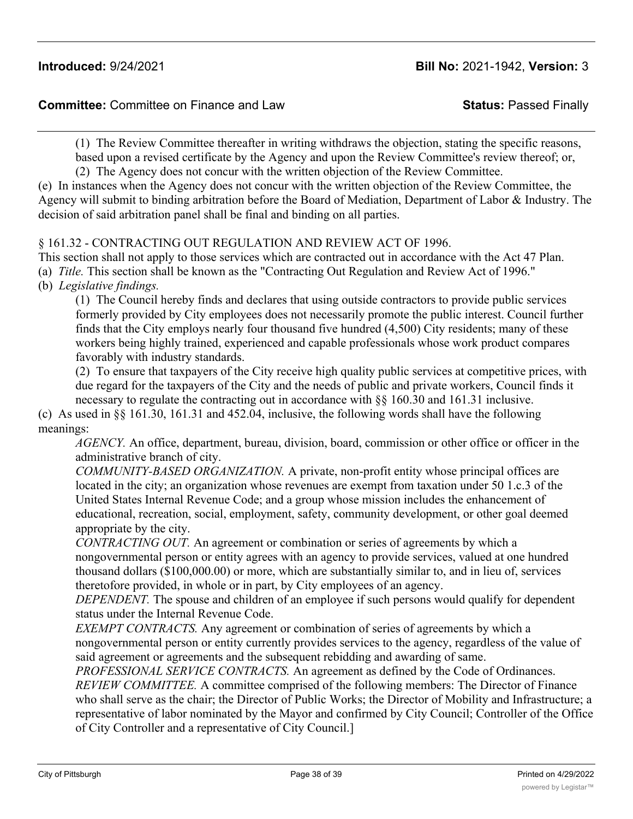(1) The Review Committee thereafter in writing withdraws the objection, stating the specific reasons, based upon a revised certificate by the Agency and upon the Review Committee's review thereof; or, (2) The Agency does not concur with the written objection of the Review Committee.

(e) In instances when the Agency does not concur with the written objection of the Review Committee, the Agency will submit to binding arbitration before the Board of Mediation, Department of Labor & Industry. The decision of said arbitration panel shall be final and binding on all parties.

## § 161.32 - CONTRACTING OUT REGULATION AND REVIEW ACT OF 1996.

This section shall not apply to those services which are contracted out in accordance with the Act 47 Plan. (a) *Title.* This section shall be known as the "Contracting Out Regulation and Review Act of 1996."

(b) *Legislative findings.*

(1) The Council hereby finds and declares that using outside contractors to provide public services formerly provided by City employees does not necessarily promote the public interest. Council further finds that the City employs nearly four thousand five hundred (4,500) City residents; many of these workers being highly trained, experienced and capable professionals whose work product compares favorably with industry standards.

(2) To ensure that taxpayers of the City receive high quality public services at competitive prices, with due regard for the taxpayers of the City and the needs of public and private workers, Council finds it necessary to regulate the contracting out in accordance with §§ 160.30 and 161.31 inclusive.

(c) As used in §§ 161.30, 161.31 and 452.04, inclusive, the following words shall have the following meanings:

*AGENCY.* An office, department, bureau, division, board, commission or other office or officer in the administrative branch of city.

*COMMUNITY-BASED ORGANIZATION.* A private, non-profit entity whose principal offices are located in the city; an organization whose revenues are exempt from taxation under 50 1.c.3 of the United States Internal Revenue Code; and a group whose mission includes the enhancement of educational, recreation, social, employment, safety, community development, or other goal deemed appropriate by the city.

*CONTRACTING OUT.* An agreement or combination or series of agreements by which a nongovernmental person or entity agrees with an agency to provide services, valued at one hundred thousand dollars (\$100,000.00) or more, which are substantially similar to, and in lieu of, services theretofore provided, in whole or in part, by City employees of an agency.

*DEPENDENT.* The spouse and children of an employee if such persons would qualify for dependent status under the Internal Revenue Code.

*EXEMPT CONTRACTS.* Any agreement or combination of series of agreements by which a nongovernmental person or entity currently provides services to the agency, regardless of the value of said agreement or agreements and the subsequent rebidding and awarding of same.

*PROFESSIONAL SERVICE CONTRACTS.* An agreement as defined by the Code of Ordinances. *REVIEW COMMITTEE.* A committee comprised of the following members: The Director of Finance who shall serve as the chair; the Director of Public Works; the Director of Mobility and Infrastructure; a representative of labor nominated by the Mayor and confirmed by City Council; Controller of the Office of City Controller and a representative of City Council.]